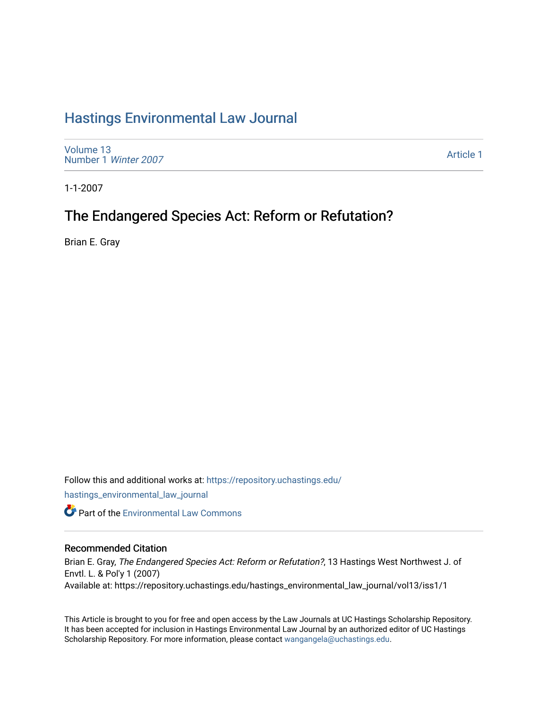# [Hastings Environmental Law Journal](https://repository.uchastings.edu/hastings_environmental_law_journal)

[Volume 13](https://repository.uchastings.edu/hastings_environmental_law_journal/vol13) [Number 1](https://repository.uchastings.edu/hastings_environmental_law_journal/vol13/iss1) Winter 2007

[Article 1](https://repository.uchastings.edu/hastings_environmental_law_journal/vol13/iss1/1) 

1-1-2007

# The Endangered Species Act: Reform or Refutation?

Brian E. Gray

Follow this and additional works at: [https://repository.uchastings.edu/](https://repository.uchastings.edu/hastings_environmental_law_journal?utm_source=repository.uchastings.edu%2Fhastings_environmental_law_journal%2Fvol13%2Fiss1%2F1&utm_medium=PDF&utm_campaign=PDFCoverPages) [hastings\\_environmental\\_law\\_journal](https://repository.uchastings.edu/hastings_environmental_law_journal?utm_source=repository.uchastings.edu%2Fhastings_environmental_law_journal%2Fvol13%2Fiss1%2F1&utm_medium=PDF&utm_campaign=PDFCoverPages) 

**C** Part of the [Environmental Law Commons](http://network.bepress.com/hgg/discipline/599?utm_source=repository.uchastings.edu%2Fhastings_environmental_law_journal%2Fvol13%2Fiss1%2F1&utm_medium=PDF&utm_campaign=PDFCoverPages)

# Recommended Citation

Brian E. Gray, The Endangered Species Act: Reform or Refutation?, 13 Hastings West Northwest J. of Envtl. L. & Pol'y 1 (2007) Available at: https://repository.uchastings.edu/hastings\_environmental\_law\_journal/vol13/iss1/1

This Article is brought to you for free and open access by the Law Journals at UC Hastings Scholarship Repository. It has been accepted for inclusion in Hastings Environmental Law Journal by an authorized editor of UC Hastings Scholarship Repository. For more information, please contact [wangangela@uchastings.edu.](mailto:wangangela@uchastings.edu)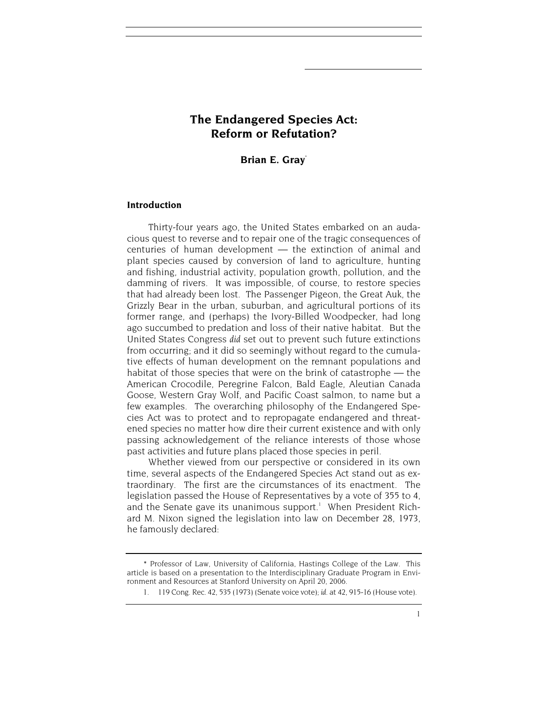# **The Endangered Species Act: Reform or Refutation?**

**Brian E. Gray**\*

# **Introduction**

Thirty-four years ago, the United States embarked on an audacious quest to reverse and to repair one of the tragic consequences of centuries of human development — the extinction of animal and plant species caused by conversion of land to agriculture, hunting and fishing, industrial activity, population growth, pollution, and the damming of rivers. It was impossible, of course, to restore species that had already been lost. The Passenger Pigeon, the Great Auk, the Grizzly Bear in the urban, suburban, and agricultural portions of its former range, and (perhaps) the Ivory-Billed Woodpecker, had long ago succumbed to predation and loss of their native habitat. But the United States Congress *did* set out to prevent such future extinctions from occurring; and it did so seemingly without regard to the cumulative effects of human development on the remnant populations and habitat of those species that were on the brink of catastrophe — the American Crocodile, Peregrine Falcon, Bald Eagle, Aleutian Canada Goose, Western Gray Wolf, and Pacific Coast salmon, to name but a few examples. The overarching philosophy of the Endangered Species Act was to protect and to repropagate endangered and threatened species no matter how dire their current existence and with only passing acknowledgement of the reliance interests of those whose past activities and future plans placed those species in peril.

Whether viewed from our perspective or considered in its own time, several aspects of the Endangered Species Act stand out as extraordinary. The first are the circumstances of its enactment. The legislation passed the House of Representatives by a vote of 355 to 4, and the Senate gave its unanimous support.<sup>1</sup> When President Richard M. Nixon signed the legislation into law on December 28, 1973, he famously declared:

<sup>\*</sup> Professor of Law, University of California, Hastings College of the Law. This article is based on a presentation to the Interdisciplinary Graduate Program in Environment and Resources at Stanford University on April 20, 2006.

<sup>1. 119</sup> Cong. Rec. 42, 535 (1973) (Senate voice vote); *id.* at 42, 915-16 (House vote).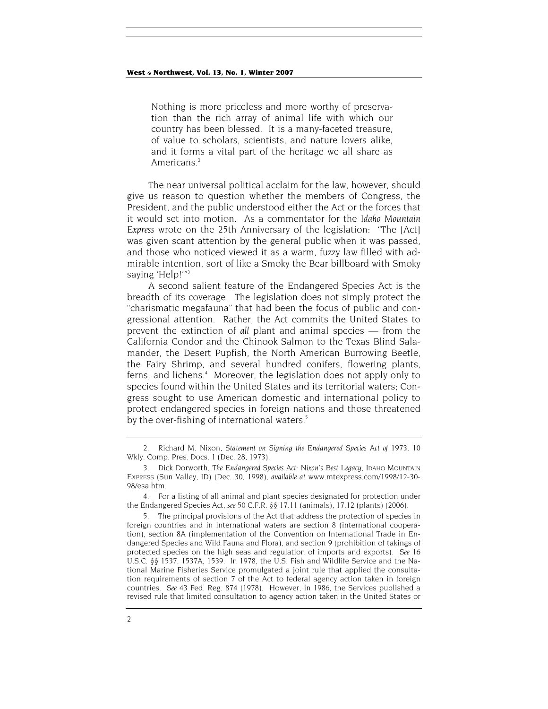Nothing is more priceless and more worthy of preservation than the rich array of animal life with which our country has been blessed. It is a many-faceted treasure, of value to scholars, scientists, and nature lovers alike, and it forms a vital part of the heritage we all share as Americans.<sup>2</sup>

The near universal political acclaim for the law, however, should give us reason to question whether the members of Congress, the President, and the public understood either the Act or the forces that it would set into motion. As a commentator for the *Idaho Mountain Express* wrote on the 25th Anniversary of the legislation: "The [Act] was given scant attention by the general public when it was passed, and those who noticed viewed it as a warm, fuzzy law filled with admirable intention, sort of like a Smoky the Bear billboard with Smoky saying 'Help!'"<sup>3</sup>

A second salient feature of the Endangered Species Act is the breadth of its coverage. The legislation does not simply protect the "charismatic megafauna" that had been the focus of public and congressional attention. Rather, the Act commits the United States to prevent the extinction of *all* plant and animal species — from the California Condor and the Chinook Salmon to the Texas Blind Salamander, the Desert Pupfish, the North American Burrowing Beetle, the Fairy Shrimp, and several hundred conifers, flowering plants, ferns, and lichens.<sup>4</sup> Moreover, the legislation does not apply only to species found within the United States and its territorial waters; Congress sought to use American domestic and international policy to protect endangered species in foreign nations and those threatened by the over-fishing of international waters.<sup>5</sup>

<sup>2.</sup> Richard M. Nixon, *Statement on Signing the Endangered Species Act of 1973*, 10 Wkly. Comp. Pres. Docs. 1 (Dec. 28, 1973).

<sup>3.</sup> Dick Dorworth, *The Endangered Species Act: Nixon's Best Legacy,* IDAHO MOUNTAIN EXPRESS (Sun Valley, ID) (Dec. 30, 1998), *available at* www.mtexpress.com/1998/12-30- 98/esa.htm.

<sup>4.</sup> For a listing of all animal and plant species designated for protection under the Endangered Species Act, *see* 50 C.F.R. §§ 17.11 (animals), 17.12 (plants) (2006).

<sup>5.</sup> The principal provisions of the Act that address the protection of species in foreign countries and in international waters are section 8 (international cooperation), section 8A (implementation of the Convention on International Trade in Endangered Species and Wild Fauna and Flora), and section 9 (prohibition of takings of protected species on the high seas and regulation of imports and exports). *See* 16 U.S.C. §§ 1537, 1537A, 1539. In 1978, the U.S. Fish and Wildlife Service and the National Marine Fisheries Service promulgated a joint rule that applied the consultation requirements of section 7 of the Act to federal agency action taken in foreign countries. *See* 43 Fed. Reg. 874 (1978). However, in 1986, the Services published a revised rule that limited consultation to agency action taken in the United States or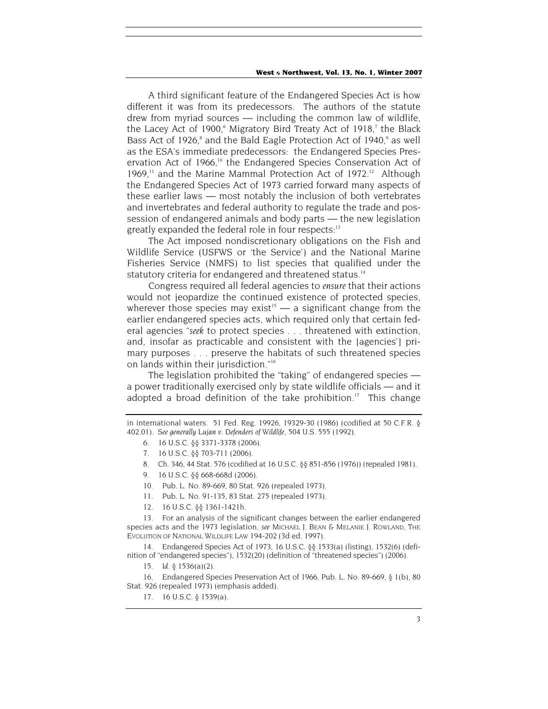A third significant feature of the Endangered Species Act is how different it was from its predecessors. The authors of the statute drew from myriad sources — including the common law of wildlife, the Lacey Act of 1900,<sup>6</sup> Migratory Bird Treaty Act of 1918,<sup>7</sup> the Black Bass Act of 1926,<sup>8</sup> and the Bald Eagle Protection Act of 1940,<sup>9</sup> as well as the ESA's immediate predecessors: the Endangered Species Preservation Act of 1966,<sup>10</sup> the Endangered Species Conservation Act of 1969, $11$  and the Marine Mammal Protection Act of 1972.<sup>12</sup> Although the Endangered Species Act of 1973 carried forward many aspects of these earlier laws — most notably the inclusion of both vertebrates and invertebrates and federal authority to regulate the trade and possession of endangered animals and body parts — the new legislation greatly expanded the federal role in four respects:<sup>13</sup>

The Act imposed nondiscretionary obligations on the Fish and Wildlife Service (USFWS or 'the Service') and the National Marine Fisheries Service (NMFS) to list species that qualified under the statutory criteria for endangered and threatened status.<sup>14</sup>

Congress required all federal agencies to *ensure* that their actions would not jeopardize the continued existence of protected species, wherever those species may exist<sup>15</sup> — a significant change from the earlier endangered species acts, which required only that certain federal agencies "*seek* to protect species . . . threatened with extinction, and, insofar as practicable and consistent with the [agencies'] primary purposes . . . preserve the habitats of such threatened species on lands within their jurisdiction."16

The legislation prohibited the "taking" of endangered species a power traditionally exercised only by state wildlife officials — and it adopted a broad definition of the take prohibition.<sup>17</sup> This change

- 6. 16 U.S.C. §§ 3371-3378 (2006).
- 7. 16 U.S.C. §§ 703-711 (2006).
- 8. Ch. 346, 44 Stat. 576 (codified at 16 U.S.C. §§ 851-856 (1976)) (repealed 1981).
- 9. 16 U.S.C. §§ 668-668d (2006).
- 10. Pub. L. No. 89-669, 80 Stat. 926 (repealed 1973).
- 11. Pub. L. No. 91-135, 83 Stat. 275 (repealed 1973).
- 12. 16 U.S.C. §§ 1361-1421h.

13. For an analysis of the significant changes between the earlier endangered species acts and the 1973 legislation, *see* MICHAEL J. BEAN & MELANIE J. ROWLAND, THE EVOLUTION OF NATIONAL WILDLIFE LAW 194-202 (3d ed. 1997).

14. Endangered Species Act of 1973, 16 U.S.C. §§ 1533(a) (listing), 1532(6) (definition of "endangered species"), 1532(20) (definition of "threatened species") (2006).

15*. Id.* § 1536(a)(2).

16. Endangered Species Preservation Act of 1966, Pub. L. No. 89-669, § 1(b), 80 Stat. 926 (repealed 1973) (emphasis added).

17. 16 U.S.C. § 1539(a).

in international waters. 51 Fed. Reg. 19926, 19329-30 (1986) (codified at 50 C.F.R. § 402.01). *See generally Lujan v. Defenders of Wildlife*, 504 U.S. 555 (1992).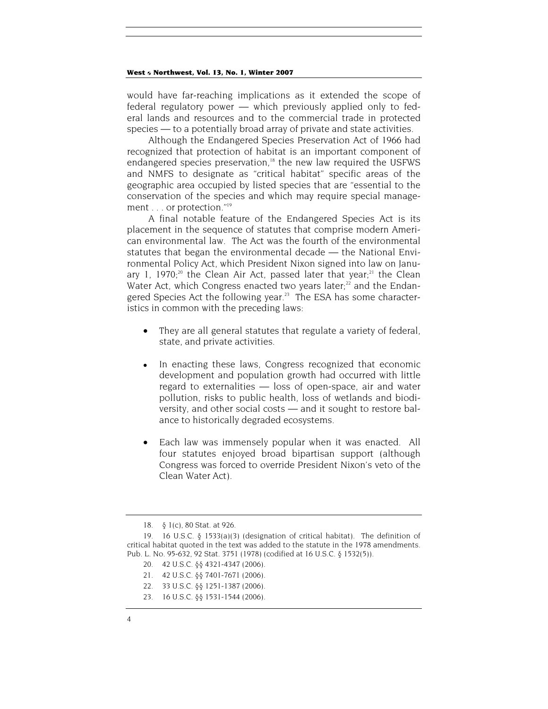would have far-reaching implications as it extended the scope of federal regulatory power — which previously applied only to federal lands and resources and to the commercial trade in protected species — to a potentially broad array of private and state activities.

Although the Endangered Species Preservation Act of 1966 had recognized that protection of habitat is an important component of endangered species preservation,<sup>18</sup> the new law required the USFWS and NMFS to designate as "critical habitat" specific areas of the geographic area occupied by listed species that are "essential to the conservation of the species and which may require special management . . . or protection."19

A final notable feature of the Endangered Species Act is its placement in the sequence of statutes that comprise modern American environmental law. The Act was the fourth of the environmental statutes that began the environmental decade — the National Environmental Policy Act, which President Nixon signed into law on January 1, 1970;<sup>20</sup> the Clean Air Act, passed later that year;<sup>21</sup> the Clean Water Act, which Congress enacted two years later; $22$  and the Endangered Species Act the following year.<sup>23</sup> The ESA has some characteristics in common with the preceding laws:

- They are all general statutes that regulate a variety of federal, state, and private activities.
- In enacting these laws, Congress recognized that economic development and population growth had occurred with little regard to externalities — loss of open-space, air and water pollution, risks to public health, loss of wetlands and biodiversity, and other social costs — and it sought to restore balance to historically degraded ecosystems.
- Each law was immensely popular when it was enacted. All four statutes enjoyed broad bipartisan support (although Congress was forced to override President Nixon's veto of the Clean Water Act).

<sup>18. § 1(</sup>c), 80 Stat. at 926.

<sup>19. 16</sup> U.S.C. § 1533(a)(3) (designation of critical habitat). The definition of critical habitat quoted in the text was added to the statute in the 1978 amendments. Pub. L. No. 95-632, 92 Stat. 3751 (1978) (codified at 16 U.S.C. § 1532(5)).

<sup>20. 42</sup> U.S.C. §§ 4321-4347 (2006).

<sup>21. 42</sup> U.S.C. §§ 7401-7671 (2006).

<sup>22. 33</sup> U.S.C. §§ 1251-1387 (2006).

<sup>23. 16</sup> U.S.C. §§ 1531-1544 (2006).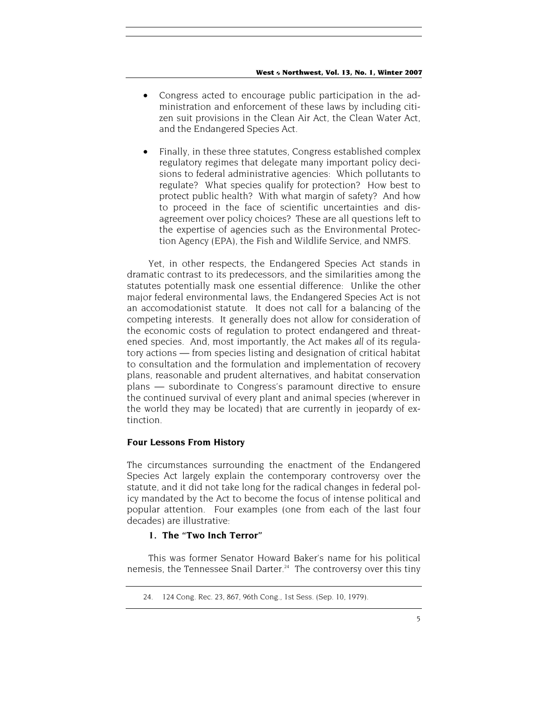- Congress acted to encourage public participation in the administration and enforcement of these laws by including citizen suit provisions in the Clean Air Act, the Clean Water Act, and the Endangered Species Act.
- Finally, in these three statutes, Congress established complex regulatory regimes that delegate many important policy decisions to federal administrative agencies: Which pollutants to regulate? What species qualify for protection? How best to protect public health? With what margin of safety? And how to proceed in the face of scientific uncertainties and disagreement over policy choices? These are all questions left to the expertise of agencies such as the Environmental Protection Agency (EPA), the Fish and Wildlife Service, and NMFS.

Yet, in other respects, the Endangered Species Act stands in dramatic contrast to its predecessors, and the similarities among the statutes potentially mask one essential difference: Unlike the other major federal environmental laws, the Endangered Species Act is not an accomodationist statute. It does not call for a balancing of the competing interests. It generally does not allow for consideration of the economic costs of regulation to protect endangered and threatened species. And, most importantly, the Act makes *all* of its regulatory actions — from species listing and designation of critical habitat to consultation and the formulation and implementation of recovery plans, reasonable and prudent alternatives, and habitat conservation plans — subordinate to Congress's paramount directive to ensure the continued survival of every plant and animal species (wherever in the world they may be located) that are currently in jeopardy of extinction.

# **Four Lessons From History**

The circumstances surrounding the enactment of the Endangered Species Act largely explain the contemporary controversy over the statute, and it did not take long for the radical changes in federal policy mandated by the Act to become the focus of intense political and popular attention. Four examples (one from each of the last four decades) are illustrative:

# **1. The "Two Inch Terror"**

This was former Senator Howard Baker's name for his political nemesis, the Tennessee Snail Darter.<sup>24</sup> The controversy over this tiny

<sup>24. 124</sup> Cong. Rec. 23, 867, 96th Cong., 1st Sess. (Sep. 10, 1979).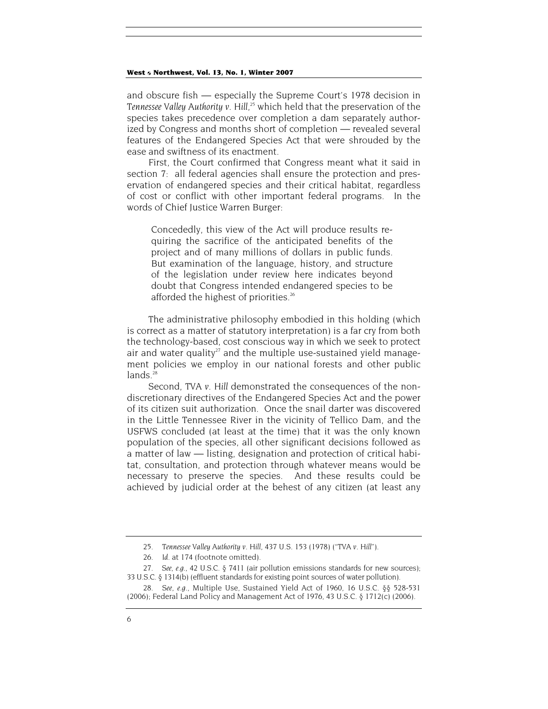and obscure fish — especially the Supreme Court's 1978 decision in *Tennessee Valley Authority v. Hill*,<sup>25</sup> which held that the preservation of the species takes precedence over completion a dam separately authorized by Congress and months short of completion — revealed several features of the Endangered Species Act that were shrouded by the ease and swiftness of its enactment.

First, the Court confirmed that Congress meant what it said in section 7: all federal agencies shall ensure the protection and preservation of endangered species and their critical habitat, regardless of cost or conflict with other important federal programs. In the words of Chief Justice Warren Burger:

Concededly, this view of the Act will produce results requiring the sacrifice of the anticipated benefits of the project and of many millions of dollars in public funds. But examination of the language, history, and structure of the legislation under review here indicates beyond doubt that Congress intended endangered species to be afforded the highest of priorities.<sup>26</sup>

The administrative philosophy embodied in this holding (which is correct as a matter of statutory interpretation) is a far cry from both the technology-based, cost conscious way in which we seek to protect air and water quality<sup>27</sup> and the multiple use-sustained yield management policies we employ in our national forests and other public  $lands.<sup>28</sup>$ 

Second, TVA v. Hill demonstrated the consequences of the nondiscretionary directives of the Endangered Species Act and the power of its citizen suit authorization. Once the snail darter was discovered in the Little Tennessee River in the vicinity of Tellico Dam, and the USFWS concluded (at least at the time) that it was the only known population of the species, all other significant decisions followed as a matter of law — listing, designation and protection of critical habitat, consultation, and protection through whatever means would be necessary to preserve the species. And these results could be achieved by judicial order at the behest of any citizen (at least any

<sup>25</sup>*. Tennessee Valley Authority v. Hill,* 437 U.S. 153 (1978) ("*TVA v. Hill*").

<sup>26</sup>*. Id.* at 174 (footnote omitted).

<sup>27</sup>*. See, e.g.,* 42 U.S.C. § 7411 (air pollution emissions standards for new sources); 33 U.S.C. § 1314(b) (effluent standards for existing point sources of water pollution).

<sup>28</sup>*. See, e.g.,* Multiple Use, Sustained Yield Act of 1960, 16 U.S.C. §§ 528-531 (2006); Federal Land Policy and Management Act of 1976, 43 U.S.C. § 1712(c) (2006).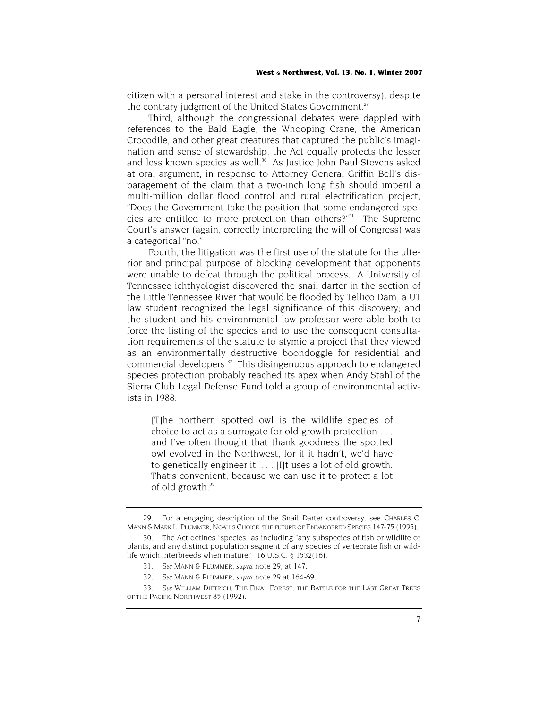citizen with a personal interest and stake in the controversy), despite the contrary judgment of the United States Government.<sup>29</sup>

Third, although the congressional debates were dappled with references to the Bald Eagle, the Whooping Crane, the American Crocodile, and other great creatures that captured the public's imagination and sense of stewardship, the Act equally protects the lesser and less known species as well.<sup>30</sup> As Justice John Paul Stevens asked at oral argument, in response to Attorney General Griffin Bell's disparagement of the claim that a two-inch long fish should imperil a multi-million dollar flood control and rural electrification project, "Does the Government take the position that some endangered species are entitled to more protection than others?"<sup>31</sup> The Supreme Court's answer (again, correctly interpreting the will of Congress) was a categorical "no."

Fourth, the litigation was the first use of the statute for the ulterior and principal purpose of blocking development that opponents were unable to defeat through the political process. A University of Tennessee ichthyologist discovered the snail darter in the section of the Little Tennessee River that would be flooded by Tellico Dam; a UT law student recognized the legal significance of this discovery; and the student and his environmental law professor were able both to force the listing of the species and to use the consequent consultation requirements of the statute to stymie a project that they viewed as an environmentally destructive boondoggle for residential and commercial developers.32 This disingenuous approach to endangered species protection probably reached its apex when Andy Stahl of the Sierra Club Legal Defense Fund told a group of environmental activists in 1988:

[T]he northern spotted owl is the wildlife species of choice to act as a surrogate for old-growth protection . . . and I've often thought that thank goodness the spotted owl evolved in the Northwest, for if it hadn't, we'd have to genetically engineer it. . . . [I]t uses a lot of old growth. That's convenient, because we can use it to protect a lot of old growth.<sup>33</sup>

<sup>29.</sup> For a engaging description of the Snail Darter controversy, see CHARLES C. MANN & MARK L. PLUMMER, NOAH'S CHOICE: THE FUTURE OF ENDANGERED SPECIES 147-75 (1995).

<sup>30.</sup> The Act defines "species" as including "any subspecies of fish or wildlife or plants, and any distinct population segment of any species of vertebrate fish or wildlife which interbreeds when mature." 16 U.S.C. § 1532(16).

<sup>31</sup>*. See* MANN & PLUMMER, *supra* note 29, at 147.

<sup>32</sup>*. See* MANN & PLUMMER, *supra* note 29 at 164-69.

<sup>33</sup>*. See* WILLIAM DIETRICH, THE FINAL FOREST: THE BATTLE FOR THE LAST GREAT TREES OF THE PACIFIC NORTHWEST 85 (1992).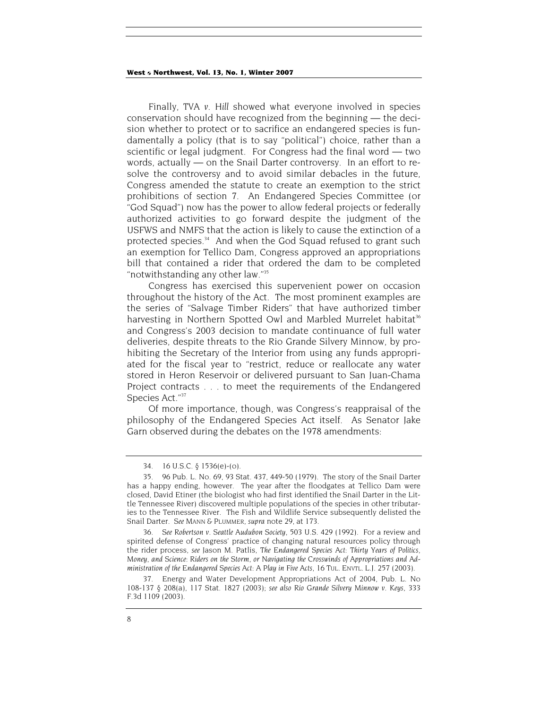Finally, *TVA v. Hill* showed what everyone involved in species conservation should have recognized from the beginning — the decision whether to protect or to sacrifice an endangered species is fundamentally a policy (that is to say "political") choice, rather than a scientific or legal judgment. For Congress had the final word — two words, actually — on the Snail Darter controversy. In an effort to resolve the controversy and to avoid similar debacles in the future, Congress amended the statute to create an exemption to the strict prohibitions of section 7. An Endangered Species Committee (or "God Squad") now has the power to allow federal projects or federally authorized activities to go forward despite the judgment of the USFWS and NMFS that the action is likely to cause the extinction of a protected species.<sup>34</sup> And when the God Squad refused to grant such an exemption for Tellico Dam, Congress approved an appropriations bill that contained a rider that ordered the dam to be completed "notwithstanding any other law."35

Congress has exercised this supervenient power on occasion throughout the history of the Act. The most prominent examples are the series of "Salvage Timber Riders" that have authorized timber harvesting in Northern Spotted Owl and Marbled Murrelet habitat<sup>36</sup> and Congress's 2003 decision to mandate continuance of full water deliveries, despite threats to the Rio Grande Silvery Minnow, by prohibiting the Secretary of the Interior from using any funds appropriated for the fiscal year to "restrict, reduce or reallocate any water stored in Heron Reservoir or delivered pursuant to San Juan-Chama Project contracts . . . to meet the requirements of the Endangered Species Act."<sup>37</sup>

Of more importance, though, was Congress's reappraisal of the philosophy of the Endangered Species Act itself. As Senator Jake Garn observed during the debates on the 1978 amendments:

36*. See Robertson v. Seattle Audubon Society*, 503 U.S. 429 (1992). For a review and spirited defense of Congress' practice of changing natural resources policy through the rider process, *see* Jason M. Patlis, *The Endangered Species Act: Thirty Years of Politics, Money, and Science: Riders on the Storm, or Navigating the Crosswinds of Appropriations and Administration of the Endangered Species Act: A Play in Five Acts*, 16 TUL. ENVTL. L.J. 257 (2003).

<sup>34. 16</sup> U.S.C. § 1536(e)-(o).

<sup>35. 96</sup> Pub. L. No. 69, 93 Stat. 437, 449-50 (1979). The story of the Snail Darter has a happy ending, however. The year after the floodgates at Tellico Dam were closed, David Etiner (the biologist who had first identified the Snail Darter in the Little Tennessee River) discovered multiple populations of the species in other tributaries to the Tennessee River. The Fish and Wildlife Service subsequently delisted the Snail Darter. *See* MANN & PLUMMER, *supra* note 29, at 173.

<sup>37.</sup> Energy and Water Development Appropriations Act of 2004, Pub. L. No 108-137 § 208(a), 117 Stat. 1827 (2003); *see also Rio Grande Silvery Minnow v. Keys*, 333 F.3d 1109 (2003).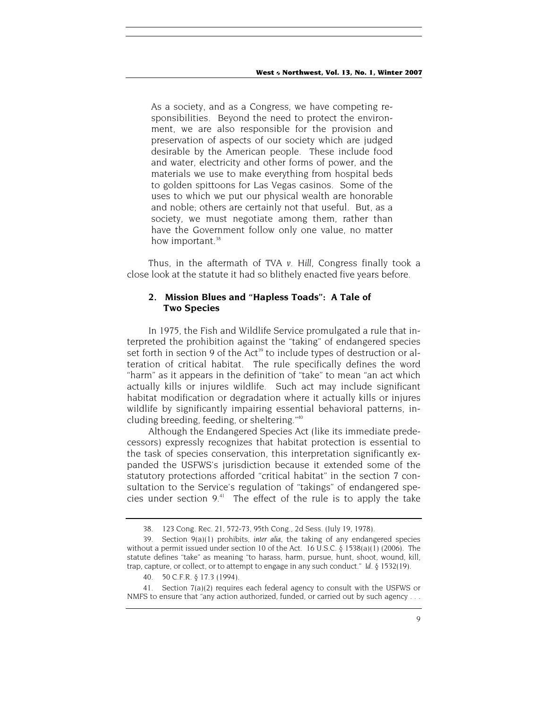As a society, and as a Congress, we have competing responsibilities. Beyond the need to protect the environment, we are also responsible for the provision and preservation of aspects of our society which are judged desirable by the American people. These include food and water, electricity and other forms of power, and the materials we use to make everything from hospital beds to golden spittoons for Las Vegas casinos. Some of the uses to which we put our physical wealth are honorable and noble; others are certainly not that useful. But, as a society, we must negotiate among them, rather than have the Government follow only one value, no matter how important.<sup>38</sup>

Thus, in the aftermath of *TVA v. Hill,* Congress finally took a close look at the statute it had so blithely enacted five years before.

# **2. Mission Blues and "Hapless Toads": A Tale of Two Species**

In 1975, the Fish and Wildlife Service promulgated a rule that interpreted the prohibition against the "taking" of endangered species set forth in section 9 of the Act<sup>39</sup> to include types of destruction or alteration of critical habitat. The rule specifically defines the word "harm" as it appears in the definition of "take" to mean "an act which actually kills or injures wildlife. Such act may include significant habitat modification or degradation where it actually kills or injures wildlife by significantly impairing essential behavioral patterns, including breeding, feeding, or sheltering."40

Although the Endangered Species Act (like its immediate predecessors) expressly recognizes that habitat protection is essential to the task of species conservation, this interpretation significantly expanded the USFWS's jurisdiction because it extended some of the statutory protections afforded "critical habitat" in the section 7 consultation to the Service's regulation of "takings" of endangered species under section  $9<sup>41</sup>$  The effect of the rule is to apply the take

<sup>38. 123</sup> Cong. Rec. 21, 572-73, 95th Cong., 2d Sess. (July 19, 1978).

<sup>39.</sup> Section 9(a)(1) prohibits, *inter alia,* the taking of any endangered species without a permit issued under section 10 of the Act. 16 U.S.C.  $\&$  1538(a)(1) (2006). The statute defines "take" as meaning "to harass, harm, pursue, hunt, shoot, wound, kill, trap, capture, or collect, or to attempt to engage in any such conduct." *Id.* § 1532(19).

<sup>40. 50</sup> C.F.R. § 17.3 (1994).

<sup>41.</sup> Section 7(a)(2) requires each federal agency to consult with the USFWS or NMFS to ensure that "any action authorized, funded, or carried out by such agency . . .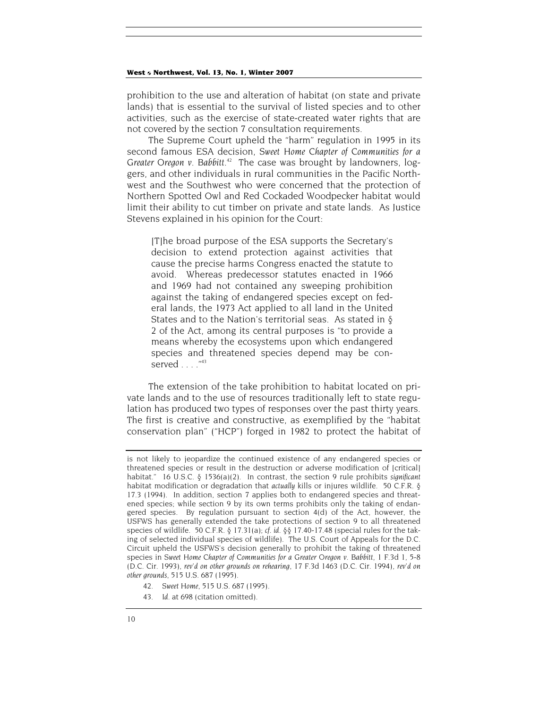prohibition to the use and alteration of habitat (on state and private lands) that is essential to the survival of listed species and to other activities, such as the exercise of state-created water rights that are not covered by the section 7 consultation requirements.

The Supreme Court upheld the "harm" regulation in 1995 in its second famous ESA decision, *Sweet Home Chapter of Communities for a Greater Oregon v. Babbitt.*42 The case was brought by landowners, loggers, and other individuals in rural communities in the Pacific Northwest and the Southwest who were concerned that the protection of Northern Spotted Owl and Red Cockaded Woodpecker habitat would limit their ability to cut timber on private and state lands. As Justice Stevens explained in his opinion for the Court:

[T]he broad purpose of the ESA supports the Secretary's decision to extend protection against activities that cause the precise harms Congress enacted the statute to avoid. Whereas predecessor statutes enacted in 1966 and 1969 had not contained any sweeping prohibition against the taking of endangered species except on federal lands, the 1973 Act applied to all land in the United States and to the Nation's territorial seas. As stated in § 2 of the Act, among its central purposes is "to provide a means whereby the ecosystems upon which endangered species and threatened species depend may be conserved  $\ldots$  . . . . . 43

The extension of the take prohibition to habitat located on private lands and to the use of resources traditionally left to state regulation has produced two types of responses over the past thirty years. The first is creative and constructive, as exemplified by the "habitat conservation plan" ("HCP") forged in 1982 to protect the habitat of

- 42*. Sweet Home*, 515 U.S. 687 (1995).
- 43*. Id.* at 698 (citation omitted).

is not likely to jeopardize the continued existence of any endangered species or threatened species or result in the destruction or adverse modification of [critical] habitat." 16 U.S.C. § 1536(a)(2). In contrast, the section 9 rule prohibits *significant* habitat modification or degradation that *actually* kills or injures wildlife. 50 C.F.R. § 17.3 (1994). In addition, section 7 applies both to endangered species and threatened species; while section 9 by its own terms prohibits only the taking of endangered species. By regulation pursuant to section 4(d) of the Act, however, the USFWS has generally extended the take protections of section 9 to all threatened species of wildlife. 50 C.F.R. § 17.31(a); *cf. id.* §§ 17.40-17.48 (special rules for the taking of selected individual species of wildlife). The U.S. Court of Appeals for the D.C. Circuit upheld the USFWS's decision generally to prohibit the taking of threatened species in *Sweet Home Chapter of Communities for a Greater Oregon v. Babbitt*, 1 F.3d 1, 5-8 (D.C. Cir. 1993), *rev'd on other grounds on rehearing,* 17 F.3d 1463 (D.C. Cir. 1994), *rev'd on other grounds,* 515 U.S. 687 (1995).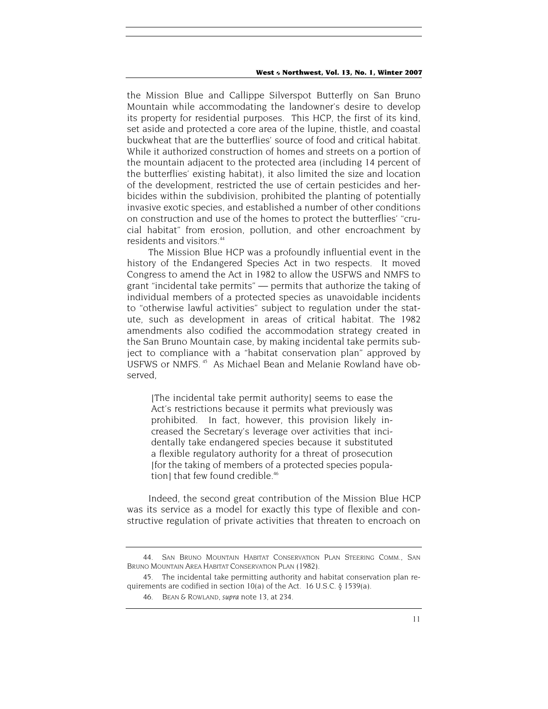the Mission Blue and Callippe Silverspot Butterfly on San Bruno Mountain while accommodating the landowner's desire to develop its property for residential purposes. This HCP, the first of its kind, set aside and protected a core area of the lupine, thistle, and coastal buckwheat that are the butterflies' source of food and critical habitat. While it authorized construction of homes and streets on a portion of the mountain adjacent to the protected area (including 14 percent of the butterflies' existing habitat), it also limited the size and location of the development, restricted the use of certain pesticides and herbicides within the subdivision, prohibited the planting of potentially invasive exotic species, and established a number of other conditions on construction and use of the homes to protect the butterflies' "crucial habitat" from erosion, pollution, and other encroachment by residents and visitors.44

The Mission Blue HCP was a profoundly influential event in the history of the Endangered Species Act in two respects. It moved Congress to amend the Act in 1982 to allow the USFWS and NMFS to grant "incidental take permits" — permits that authorize the taking of individual members of a protected species as unavoidable incidents to "otherwise lawful activities" subject to regulation under the statute, such as development in areas of critical habitat. The 1982 amendments also codified the accommodation strategy created in the San Bruno Mountain case, by making incidental take permits subject to compliance with a "habitat conservation plan" approved by USFWS or NMFS. 45 As Michael Bean and Melanie Rowland have observed,

[The incidental take permit authority] seems to ease the Act's restrictions because it permits what previously was prohibited. In fact, however, this provision likely increased the Secretary's leverage over activities that incidentally take endangered species because it substituted a flexible regulatory authority for a threat of prosecution [for the taking of members of a protected species population] that few found credible.<sup>46</sup>

Indeed, the second great contribution of the Mission Blue HCP was its service as a model for exactly this type of flexible and constructive regulation of private activities that threaten to encroach on

<sup>44.</sup> SAN BRUNO MOUNTAIN HABITAT CONSERVATION PLAN STEERING COMM., SAN BRUNO MOUNTAIN AREA HABITAT CONSERVATION PLAN (1982).

<sup>45.</sup> The incidental take permitting authority and habitat conservation plan requirements are codified in section 10(a) of the Act. 16 U.S.C. § 1539(a).

<sup>46.</sup> BEAN & ROWLAND, *supra* note 13, at 234.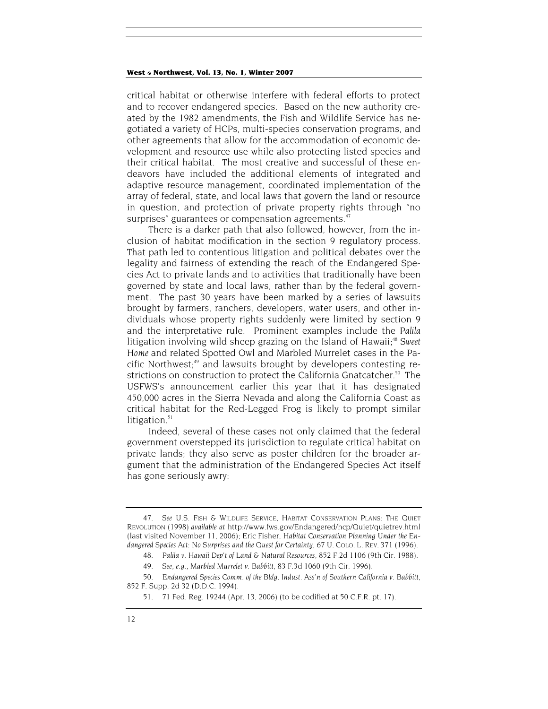critical habitat or otherwise interfere with federal efforts to protect and to recover endangered species. Based on the new authority created by the 1982 amendments, the Fish and Wildlife Service has negotiated a variety of HCPs, multi-species conservation programs, and other agreements that allow for the accommodation of economic development and resource use while also protecting listed species and their critical habitat. The most creative and successful of these endeavors have included the additional elements of integrated and adaptive resource management, coordinated implementation of the array of federal, state, and local laws that govern the land or resource in question, and protection of private property rights through "no surprises" guarantees or compensation agreements.<sup>47</sup>

There is a darker path that also followed, however, from the inclusion of habitat modification in the section 9 regulatory process. That path led to contentious litigation and political debates over the legality and fairness of extending the reach of the Endangered Species Act to private lands and to activities that traditionally have been governed by state and local laws, rather than by the federal government. The past 30 years have been marked by a series of lawsuits brought by farmers, ranchers, developers, water users, and other individuals whose property rights suddenly were limited by section 9 and the interpretative rule. Prominent examples include the *Palila* litigation involving wild sheep grazing on the Island of Hawaii;<sup>48</sup> Sweet *Home* and related Spotted Owl and Marbled Murrelet cases in the Pacific Northwest;<sup>49</sup> and lawsuits brought by developers contesting restrictions on construction to protect the California Gnatcatcher.<sup>50</sup> The USFWS's announcement earlier this year that it has designated 450,000 acres in the Sierra Nevada and along the California Coast as critical habitat for the Red-Legged Frog is likely to prompt similar litigation. $51$ 

Indeed, several of these cases not only claimed that the federal government overstepped its jurisdiction to regulate critical habitat on private lands; they also serve as poster children for the broader argument that the administration of the Endangered Species Act itself has gone seriously awry:

<sup>47</sup>*. See* U.S. FISH & WILDLIFE SERVICE, HABITAT CONSERVATION PLANS: THE QUIET REVOLUTION (1998) *available at* http://www.fws.gov/Endangered/hcp/Quiet/quietrev.html (last visited November 11, 2006); Eric Fisher, *Habitat Conservation Planning Under the Endangered Species Act: No Surprises and the Quest for Certainty,* 67 U. COLO. L. REV. 371 (1996).

<sup>48</sup>*. Palila v. Hawaii Dep't of Land & Natural Resources,* 852 F.2d 1106 (9th Cir. 1988).

<sup>49</sup>*. See, e.g., Marbled Murrelet v. Babbitt*, 83 F.3d 1060 (9th Cir. 1996).

<sup>50</sup>*. Endangered Species Comm. of the Bldg. Indust. Ass'n of Southern California v. Babbitt*, 852 F. Supp. 2d 32 (D.D.C. 1994).

<sup>51. 71</sup> Fed. Reg. 19244 (Apr. 13, 2006) (to be codified at 50 C.F.R. pt. 17).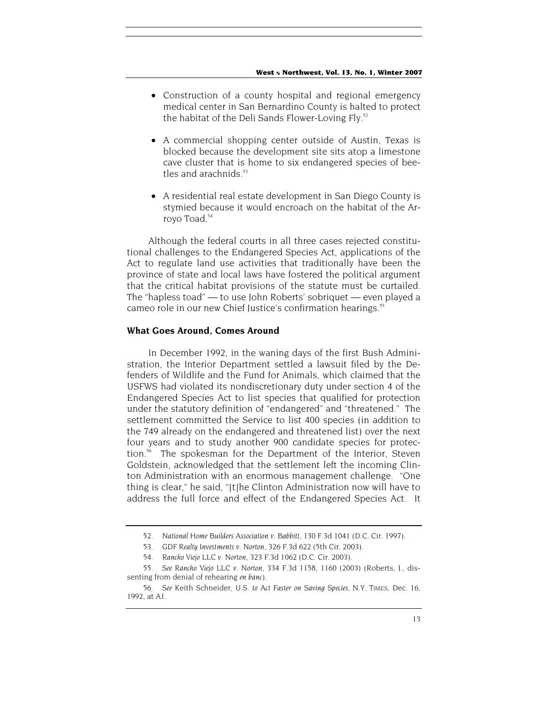- Construction of a county hospital and regional emergency medical center in San Bernardino County is halted to protect the habitat of the Deli Sands Flower-Loving Fly.<sup>52</sup>
- A commercial shopping center outside of Austin, Texas is blocked because the development site sits atop a limestone cave cluster that is home to six endangered species of beetles and arachnids $53$
- A residential real estate development in San Diego County is stymied because it would encroach on the habitat of the Arroyo Toad.<sup>54</sup>

Although the federal courts in all three cases rejected constitutional challenges to the Endangered Species Act, applications of the Act to regulate land use activities that traditionally have been the province of state and local laws have fostered the political argument that the critical habitat provisions of the statute must be curtailed. The "hapless toad" — to use John Roberts' sobriquet — even played a cameo role in our new Chief Justice's confirmation hearings.<sup>55</sup>

### **What Goes Around, Comes Around**

In December 1992, in the waning days of the first Bush Administration, the Interior Department settled a lawsuit filed by the Defenders of Wildlife and the Fund for Animals, which claimed that the USFWS had violated its nondiscretionary duty under section 4 of the Endangered Species Act to list species that qualified for protection under the statutory definition of "endangered" and "threatened." The settlement committed the Service to list 400 species (in addition to the 749 already on the endangered and threatened list) over the next four years and to study another 900 candidate species for protection.<sup>56</sup> The spokesman for the Department of the Interior, Steven Goldstein, acknowledged that the settlement left the incoming Clinton Administration with an enormous management challenge. "One thing is clear," he said, "[t]he Clinton Administration now will have to address the full force and effect of the Endangered Species Act. It

<sup>52</sup>*. National Home Builders Association v. Babbitt*, 130 F.3d 1041 (D.C. Cir. 1997).

<sup>53</sup>*. GDF Realty Investments v. Norton*, 326 F.3d 622 (5th Cir. 2003).

<sup>54</sup>*. Rancho Viejo LLC v. Norton*, 323 F.3d 1062 (D.C. Cir. 2003).

<sup>55</sup>*. See Rancho Viejo LLC v. Norton*, 334 F.3d 1158, 1160 (2003) (Roberts, J., dissenting from denial of rehearing *en banc*).

<sup>56</sup>*. See* Keith Schneider, *U.S. to Act Faster on Saving Species,* N.Y. TIMES, Dec. 16, 1992, at A1.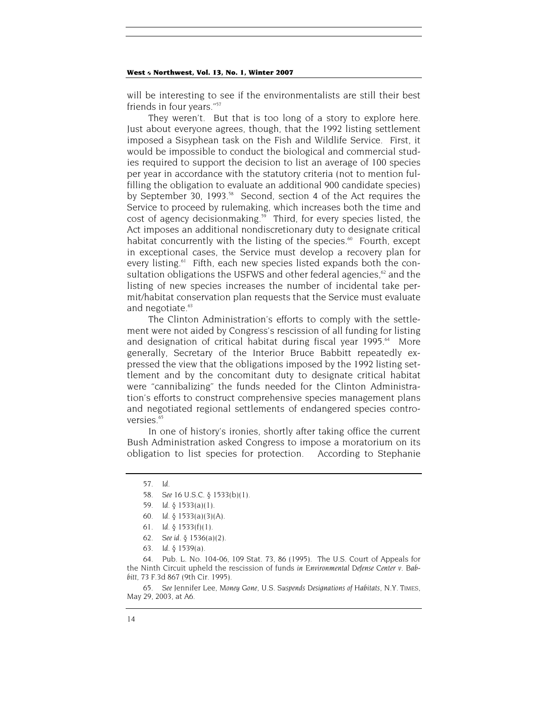will be interesting to see if the environmentalists are still their best friends in four years."57

They weren't. But that is too long of a story to explore here. Just about everyone agrees, though, that the 1992 listing settlement imposed a Sisyphean task on the Fish and Wildlife Service. First, it would be impossible to conduct the biological and commercial studies required to support the decision to list an average of 100 species per year in accordance with the statutory criteria (not to mention fulfilling the obligation to evaluate an additional 900 candidate species) by September 30, 1993.<sup>58</sup> Second, section 4 of the Act requires the Service to proceed by rulemaking, which increases both the time and cost of agency decisionmaking.<sup>59</sup> Third, for every species listed, the Act imposes an additional nondiscretionary duty to designate critical habitat concurrently with the listing of the species.<sup>60</sup> Fourth, except in exceptional cases, the Service must develop a recovery plan for every listing.<sup>61</sup> Fifth, each new species listed expands both the consultation obligations the USFWS and other federal agencies, $62$  and the listing of new species increases the number of incidental take permit/habitat conservation plan requests that the Service must evaluate and negotiate.<sup>63</sup>

The Clinton Administration's efforts to comply with the settlement were not aided by Congress's rescission of all funding for listing and designation of critical habitat during fiscal year 1995.<sup>64</sup> More generally, Secretary of the Interior Bruce Babbitt repeatedly expressed the view that the obligations imposed by the 1992 listing settlement and by the concomitant duty to designate critical habitat were "cannibalizing" the funds needed for the Clinton Administration's efforts to construct comprehensive species management plans and negotiated regional settlements of endangered species controversies.<sup>65</sup>

In one of history's ironies, shortly after taking office the current Bush Administration asked Congress to impose a moratorium on its obligation to list species for protection. According to Stephanie

- 62*. See id.* § 1536(a)(2).
- 63*. Id.* § 1539(a).

65*. See* Jennifer Lee, *Money Gone, U.S. Suspends Designations of Habitats,* N.Y. TIMES, May 29, 2003, at A6.

<sup>57</sup>*. Id.*

<sup>58</sup>*. See* 16 U.S.C. § 1533(b)(1).

<sup>59</sup>*. Id.* § 1533(a)(1).

<sup>60</sup>*. Id.* § 1533(a)(3)(A).

<sup>61</sup>*. Id.* § 1533(f)(1).

<sup>64.</sup> Pub. L. No. 104-06, 109 Stat. 73, 86 (1995). The U.S. Court of Appeals for the Ninth Circuit upheld the rescission of funds *in Environmental Defense Center v. Babbitt*, 73 F.3d 867 (9th Cir. 1995).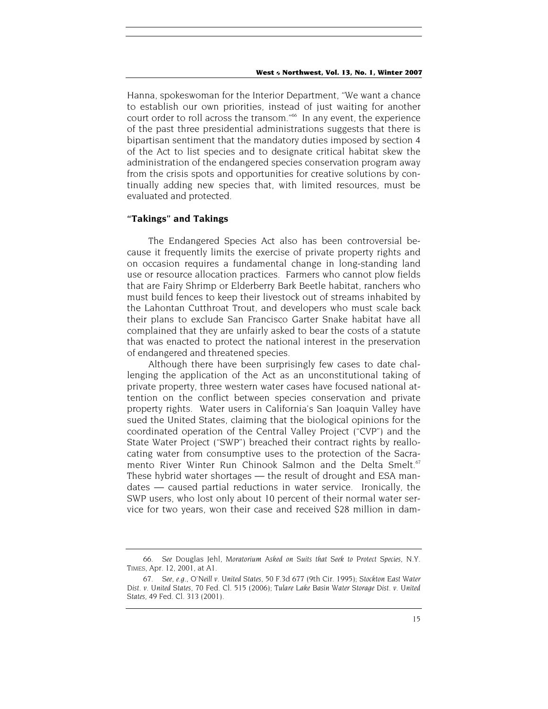Hanna, spokeswoman for the Interior Department, "We want a chance to establish our own priorities, instead of just waiting for another court order to roll across the transom."<sup>66</sup> In any event, the experience of the past three presidential administrations suggests that there is bipartisan sentiment that the mandatory duties imposed by section 4 of the Act to list species and to designate critical habitat skew the administration of the endangered species conservation program away from the crisis spots and opportunities for creative solutions by continually adding new species that, with limited resources, must be evaluated and protected.

# **"Takings" and Takings**

The Endangered Species Act also has been controversial because it frequently limits the exercise of private property rights and on occasion requires a fundamental change in long-standing land use or resource allocation practices. Farmers who cannot plow fields that are Fairy Shrimp or Elderberry Bark Beetle habitat, ranchers who must build fences to keep their livestock out of streams inhabited by the Lahontan Cutthroat Trout, and developers who must scale back their plans to exclude San Francisco Garter Snake habitat have all complained that they are unfairly asked to bear the costs of a statute that was enacted to protect the national interest in the preservation of endangered and threatened species.

Although there have been surprisingly few cases to date challenging the application of the Act as an unconstitutional taking of private property, three western water cases have focused national attention on the conflict between species conservation and private property rights. Water users in California's San Joaquin Valley have sued the United States, claiming that the biological opinions for the coordinated operation of the Central Valley Project ("CVP") and the State Water Project ("SWP") breached their contract rights by reallocating water from consumptive uses to the protection of the Sacramento River Winter Run Chinook Salmon and the Delta Smelt.<sup>67</sup> These hybrid water shortages — the result of drought and ESA mandates — caused partial reductions in water service. Ironically, the SWP users, who lost only about 10 percent of their normal water service for two years, won their case and received \$28 million in dam-

<sup>66</sup>*. See* Douglas Jehl, *Moratorium Asked on Suits that Seek to Protect Species,* N.Y. TIMES, Apr. 12, 2001, at A1.

<sup>67</sup>*. See, e.g., O'Neill v. United States,* 50 F.3d 677 (9th Cir. 1995); *Stockton East Water Dist. v. United States,* 70 Fed. Cl. 515 (2006); *Tulare Lake Basin Water Storage Dist. v. United States*, 49 Fed. Cl. 313 (2001).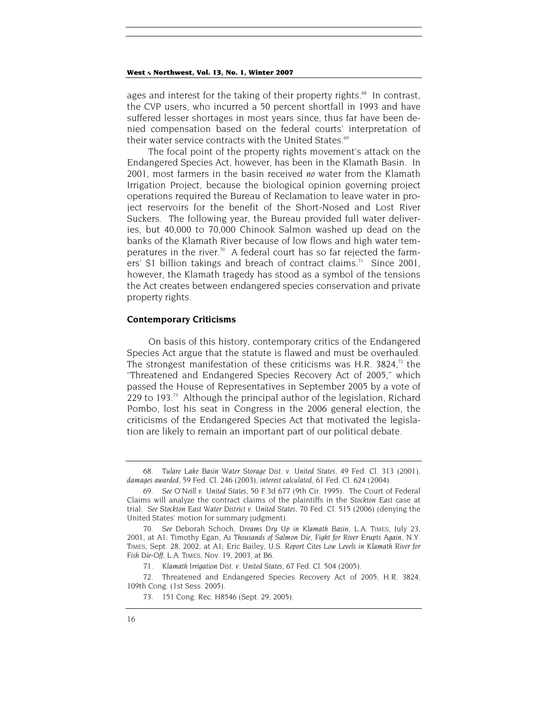ages and interest for the taking of their property rights.<sup>68</sup> In contrast, the CVP users, who incurred a 50 percent shortfall in 1993 and have suffered lesser shortages in most years since, thus far have been denied compensation based on the federal courts' interpretation of their water service contracts with the United States.<sup>69</sup>

The focal point of the property rights movement's attack on the Endangered Species Act, however, has been in the Klamath Basin. In 2001, most farmers in the basin received *no* water from the Klamath Irrigation Project, because the biological opinion governing project operations required the Bureau of Reclamation to leave water in project reservoirs for the benefit of the Short-Nosed and Lost River Suckers. The following year, the Bureau provided full water deliveries, but 40,000 to 70,000 Chinook Salmon washed up dead on the banks of the Klamath River because of low flows and high water temperatures in the river.<sup>70</sup> A federal court has so far rejected the farmers' \$1 billion takings and breach of contract claims.<sup>71</sup> Since 2001, however, the Klamath tragedy has stood as a symbol of the tensions the Act creates between endangered species conservation and private property rights.

# **Contemporary Criticisms**

On basis of this history, contemporary critics of the Endangered Species Act argue that the statute is flawed and must be overhauled. The strongest manifestation of these criticisms was H.R. 3824, $<sup>72</sup>$  the</sup> "Threatened and Endangered Species Recovery Act of 2005," which passed the House of Representatives in September 2005 by a vote of 229 to 193.<sup>73</sup> Although the principal author of the legislation, Richard Pombo, lost his seat in Congress in the 2006 general election, the criticisms of the Endangered Species Act that motivated the legislation are likely to remain an important part of our political debate.

<sup>68</sup>*. Tulare Lake Basin Water Storage Dist. v. United States*, 49 Fed. Cl. 313 (2001), *damages awarded,* 59 Fed. Cl. 246 (2003), *interest calculated,* 61 Fed. Cl. 624 (2004).

<sup>69</sup>*. See O'Neill v. United States,* 50 F.3d 677 (9th Cir. 1995). The Court of Federal Claims will analyze the contract claims of the plaintiffs in the *Stockton East* case at trial. *See Stockton East Water District v. United States,* 70 Fed. Cl. 515 (2006) (denying the United States' motion for summary judgment).

<sup>70</sup>*. See* Deborah Schoch, *Dreams Dry Up in Klamath Basin,* L.A. TIMES, July 23, 2001, at A1; Timothy Egan, *As Thousands of Salmon Die, Fight for River Erupts Again,* N.Y. TIMES, Sept. 28, 2002, at A1; Eric Bailey, *U.S. Report Cites Low Levels in Klamath River for Fish Die-Off,* L.A. TIMES, Nov. 19, 2003, at B6.

<sup>71</sup>*. Klamath Irrigation Dist. v. United States*, 67 Fed. Cl. 504 (2005).

<sup>72.</sup> Threatened and Endangered Species Recovery Act of 2005, H.R. 3824, 109th Cong. (1st Sess. 2005).

<sup>73. 151</sup> Cong. Rec. H8546 (Sept. 29, 2005).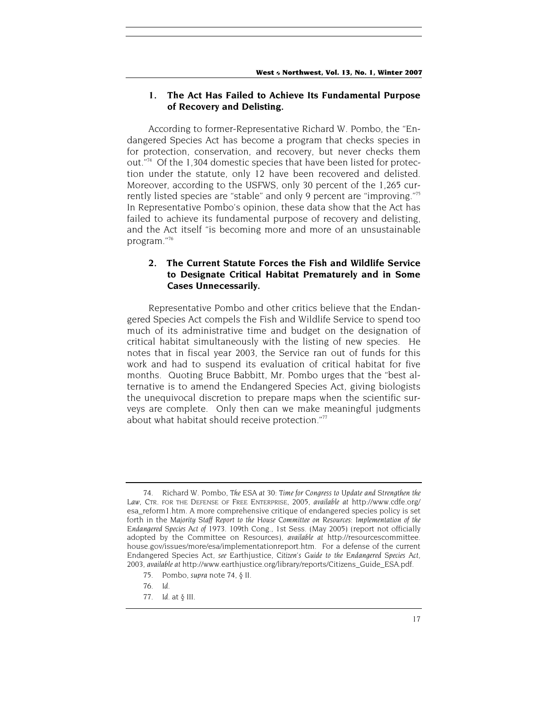# **1. The Act Has Failed to Achieve Its Fundamental Purpose of Recovery and Delisting.**

According to former-Representative Richard W. Pombo, the "Endangered Species Act has become a program that checks species in for protection, conservation, and recovery, but never checks them out."74 Of the 1,304 domestic species that have been listed for protection under the statute, only 12 have been recovered and delisted. Moreover, according to the USFWS, only 30 percent of the 1,265 currently listed species are "stable" and only 9 percent are "improving."75 In Representative Pombo's opinion, these data show that the Act has failed to achieve its fundamental purpose of recovery and delisting, and the Act itself "is becoming more and more of an unsustainable program."76

# **2. The Current Statute Forces the Fish and Wildlife Service to Designate Critical Habitat Prematurely and in Some Cases Unnecessarily.**

Representative Pombo and other critics believe that the Endangered Species Act compels the Fish and Wildlife Service to spend too much of its administrative time and budget on the designation of critical habitat simultaneously with the listing of new species. He notes that in fiscal year 2003, the Service ran out of funds for this work and had to suspend its evaluation of critical habitat for five months. Quoting Bruce Babbitt, Mr. Pombo urges that the "best alternative is to amend the Endangered Species Act, giving biologists the unequivocal discretion to prepare maps when the scientific surveys are complete. Only then can we make meaningful judgments about what habitat should receive protection."<sup>77</sup>

<sup>74.</sup> Richard W. Pombo, *The ESA at 30: Time for Congress to Update and Strengthen the Law*, CTR. FOR THE DEFENSE OF FREE ENTERPRISE, 2005, *available at* http://www.cdfe.org/ esa\_reform1.htm. A more comprehensive critique of endangered species policy is set forth in the *Majority Staff Report to the House Committee on Resources: Implementation of the Endangered Species Act of 1973*. 109th Cong., 1st Sess. (May 2005) (report not officially adopted by the Committee on Resources), *available at* http://resourcescommittee. house.gov/issues/more/esa/implementationreport.htm. For a defense of the current Endangered Species Act, *see* Earthjustice, *Citizen's Guide to the Endangered Species Act*, 2003, *available at* http://www.earthjustice.org/library/reports/Citizens\_Guide\_ESA.pdf.

<sup>75.</sup> Pombo, *supra* note 74, § II.

<sup>76</sup>*. Id.*

<sup>77</sup>*. Id.* at § III.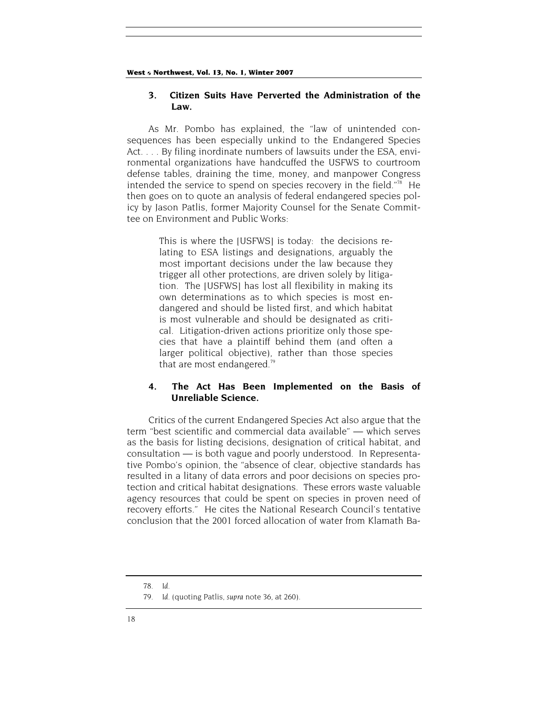# **3. Citizen Suits Have Perverted the Administration of the Law.**

As Mr. Pombo has explained, the "law of unintended consequences has been especially unkind to the Endangered Species Act. . . . By filing inordinate numbers of lawsuits under the ESA, environmental organizations have handcuffed the USFWS to courtroom defense tables, draining the time, money, and manpower Congress intended the service to spend on species recovery in the field."78 He then goes on to quote an analysis of federal endangered species policy by Jason Patlis, former Majority Counsel for the Senate Committee on Environment and Public Works:

> This is where the [USFWS] is today: the decisions relating to ESA listings and designations, arguably the most important decisions under the law because they trigger all other protections, are driven solely by litigation. The [USFWS] has lost all flexibility in making its own determinations as to which species is most endangered and should be listed first, and which habitat is most vulnerable and should be designated as critical. Litigation-driven actions prioritize only those species that have a plaintiff behind them (and often a larger political objective), rather than those species that are most endangered.<sup>79</sup>

# **4. The Act Has Been Implemented on the Basis of Unreliable Science.**

Critics of the current Endangered Species Act also argue that the term "best scientific and commercial data available" — which serves as the basis for listing decisions, designation of critical habitat, and consultation — is both vague and poorly understood. In Representative Pombo's opinion, the "absence of clear, objective standards has resulted in a litany of data errors and poor decisions on species protection and critical habitat designations. These errors waste valuable agency resources that could be spent on species in proven need of recovery efforts." He cites the National Research Council's tentative conclusion that the 2001 forced allocation of water from Klamath Ba-

<sup>78</sup>*. Id.*

<sup>79</sup>*. Id.* (quoting Patlis, *supra* note 36, at 260).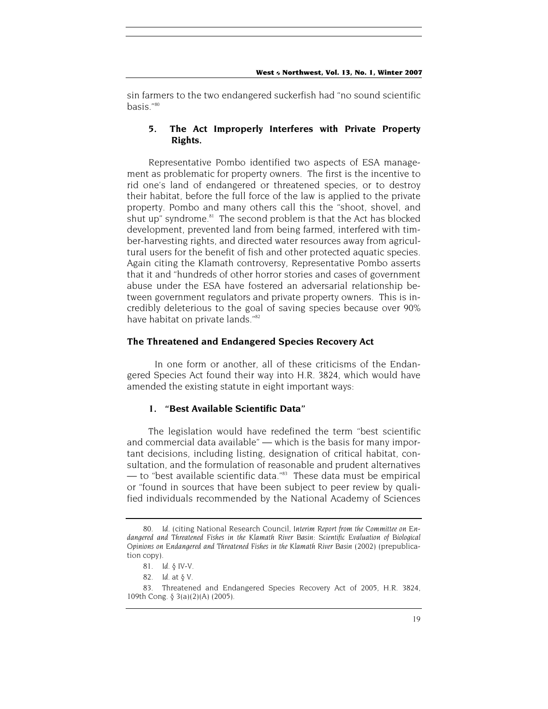sin farmers to the two endangered suckerfish had "no sound scientific basis."80

# **5. The Act Improperly Interferes with Private Property Rights.**

Representative Pombo identified two aspects of ESA management as problematic for property owners. The first is the incentive to rid one's land of endangered or threatened species, or to destroy their habitat, before the full force of the law is applied to the private property. Pombo and many others call this the "shoot, shovel, and shut up" syndrome.<sup>81</sup> The second problem is that the Act has blocked development, prevented land from being farmed, interfered with timber-harvesting rights, and directed water resources away from agricultural users for the benefit of fish and other protected aquatic species. Again citing the Klamath controversy, Representative Pombo asserts that it and "hundreds of other horror stories and cases of government abuse under the ESA have fostered an adversarial relationship between government regulators and private property owners. This is incredibly deleterious to the goal of saving species because over 90% have habitat on private lands."<sup>82</sup>

# **The Threatened and Endangered Species Recovery Act**

 In one form or another, all of these criticisms of the Endangered Species Act found their way into H.R. 3824, which would have amended the existing statute in eight important ways:

# **1. "Best Available Scientific Data"**

The legislation would have redefined the term "best scientific and commercial data available" — which is the basis for many important decisions, including listing, designation of critical habitat, consultation, and the formulation of reasonable and prudent alternatives  $-$  to "best available scientific data."<sup>83</sup> These data must be empirical or "found in sources that have been subject to peer review by qualified individuals recommended by the National Academy of Sciences

<sup>80</sup>*. Id.* (citing National Research Council, *Interim Report from the Committee on Endangered and Threatened Fishes in the Klamath River Basin: Scientific Evaluation of Biological Opinions on Endangered and Threatened Fishes in the Klamath River Basin* (2002) (prepublication copy).

<sup>81</sup>*. Id.* § IV-V.

<sup>82</sup>*. Id.* at § V.

<sup>83.</sup> Threatened and Endangered Species Recovery Act of 2005, H.R. 3824, 109th Cong. § 3(a)(2)(A) (2005).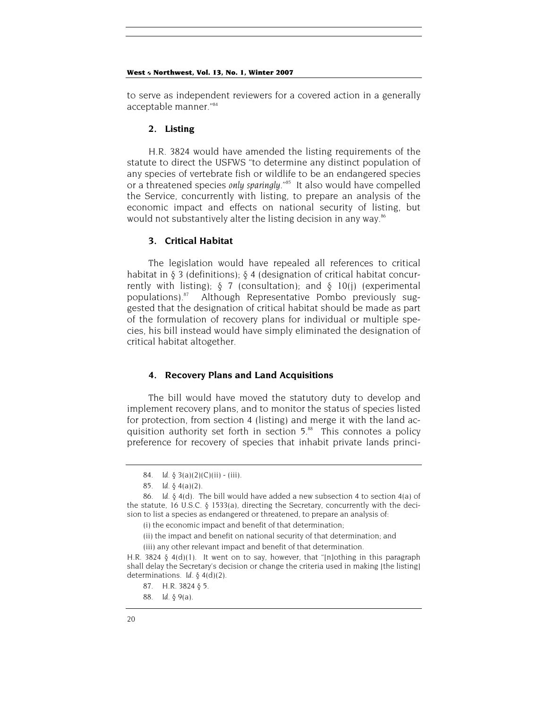to serve as independent reviewers for a covered action in a generally acceptable manner."84

### **2. Listing**

H.R. 3824 would have amended the listing requirements of the statute to direct the USFWS "to determine any distinct population of any species of vertebrate fish or wildlife to be an endangered species or a threatened species *only sparingly*."<sup>85</sup> It also would have compelled the Service, concurrently with listing, to prepare an analysis of the economic impact and effects on national security of listing, but would not substantively alter the listing decision in any way.<sup>86</sup>

### **3. Critical Habitat**

The legislation would have repealed all references to critical habitat in § 3 (definitions); § 4 (designation of critical habitat concurrently with listing);  $\delta$  7 (consultation); and  $\delta$  10(j) (experimental populations).87 Although Representative Pombo previously suggested that the designation of critical habitat should be made as part of the formulation of recovery plans for individual or multiple species, his bill instead would have simply eliminated the designation of critical habitat altogether.

# **4. Recovery Plans and Land Acquisitions**

The bill would have moved the statutory duty to develop and implement recovery plans, and to monitor the status of species listed for protection, from section 4 (listing) and merge it with the land acquisition authority set forth in section 5.<sup>88</sup> This connotes a policy preference for recovery of species that inhabit private lands princi-

<sup>84</sup>*. Id.* § 3(a)(2)(C)(ii) - (iii).

<sup>85</sup>*. Id.* § 4(a)(2).

<sup>86</sup>*. Id.* § 4(d). The bill would have added a new subsection 4 to section 4(a) of the statute, 16 U.S.C.  $\delta$  1533(a), directing the Secretary, concurrently with the decision to list a species as endangered or threatened, to prepare an analysis of:

<sup>(</sup>i) the economic impact and benefit of that determination;

<sup>(</sup>ii) the impact and benefit on national security of that determination; and

<sup>(</sup>iii) any other relevant impact and benefit of that determination.

H.R. 3824 § 4(d)(1). It went on to say, however, that "[n]othing in this paragraph shall delay the Secretary's decision or change the criteria used in making [the listing] determinations. *Id.* § 4(d)(2).

<sup>87.</sup> H.R. 3824 § 5.

<sup>88</sup>*. Id.* § 9(a).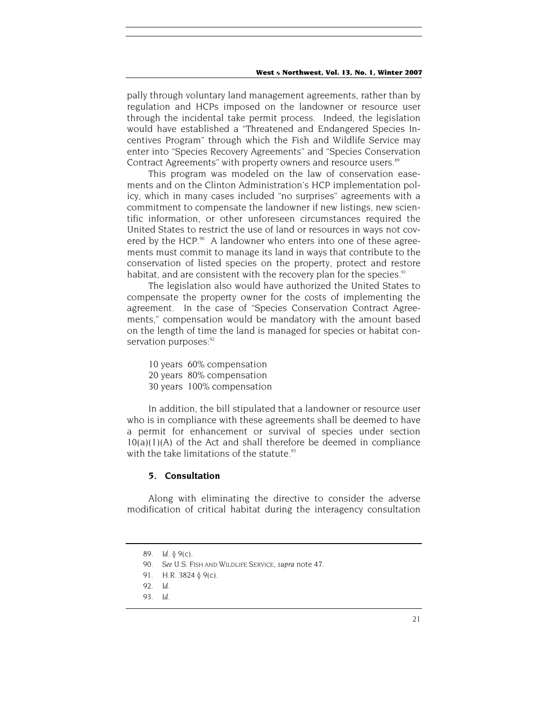pally through voluntary land management agreements, rather than by regulation and HCPs imposed on the landowner or resource user through the incidental take permit process. Indeed, the legislation would have established a "Threatened and Endangered Species Incentives Program" through which the Fish and Wildlife Service may enter into "Species Recovery Agreements" and "Species Conservation Contract Agreements" with property owners and resource users.<sup>89</sup>

This program was modeled on the law of conservation easements and on the Clinton Administration's HCP implementation policy, which in many cases included "no surprises" agreements with a commitment to compensate the landowner if new listings, new scientific information, or other unforeseen circumstances required the United States to restrict the use of land or resources in ways not covered by the HCP.<sup>90</sup> A landowner who enters into one of these agreements must commit to manage its land in ways that contribute to the conservation of listed species on the property, protect and restore habitat, and are consistent with the recovery plan for the species.<sup>91</sup>

The legislation also would have authorized the United States to compensate the property owner for the costs of implementing the agreement. In the case of "Species Conservation Contract Agreements," compensation would be mandatory with the amount based on the length of time the land is managed for species or habitat conservation purposes:<sup>92</sup>

10 years 60% compensation 20 years 80% compensation 30 years 100% compensation

In addition, the bill stipulated that a landowner or resource user who is in compliance with these agreements shall be deemed to have a permit for enhancement or survival of species under section 10(a)(1)(A) of the Act and shall therefore be deemed in compliance with the take limitations of the statute. $93$ 

### **5. Consultation**

Along with eliminating the directive to consider the adverse modification of critical habitat during the interagency consultation

<sup>89</sup>*. Id.* § 9(c).

<sup>90</sup>*. See* U.S. FISH AND WILDLIFE SERVICE, *supra* note 47.

<sup>91.</sup> H.R. 3824 § 9(c).

<sup>92</sup>*. Id.*

<sup>93</sup>*. Id.*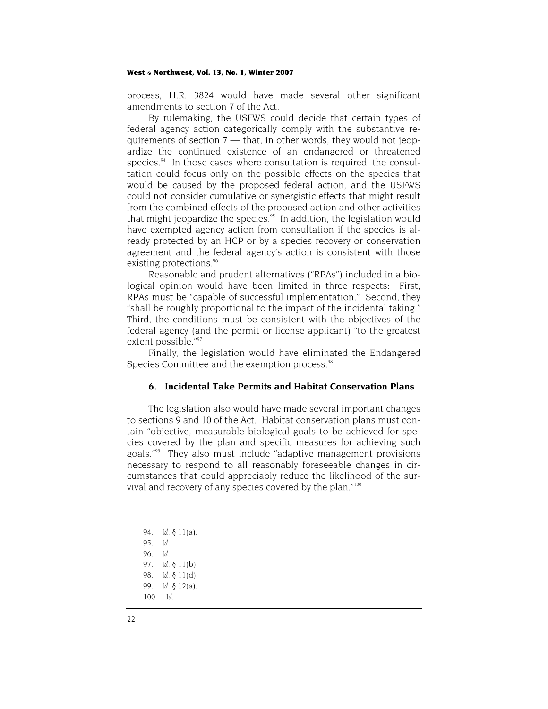process, H.R. 3824 would have made several other significant amendments to section 7 of the Act.

By rulemaking, the USFWS could decide that certain types of federal agency action categorically comply with the substantive requirements of section 7 — that, in other words, they would not jeopardize the continued existence of an endangered or threatened species. $94$  In those cases where consultation is required, the consultation could focus only on the possible effects on the species that would be caused by the proposed federal action, and the USFWS could not consider cumulative or synergistic effects that might result from the combined effects of the proposed action and other activities that might jeopardize the species. $95$  In addition, the legislation would have exempted agency action from consultation if the species is already protected by an HCP or by a species recovery or conservation agreement and the federal agency's action is consistent with those existing protections.<sup>96</sup>

Reasonable and prudent alternatives ("RPAs") included in a biological opinion would have been limited in three respects: First, RPAs must be "capable of successful implementation." Second, they "shall be roughly proportional to the impact of the incidental taking." Third, the conditions must be consistent with the objectives of the federal agency (and the permit or license applicant) "to the greatest extent possible."97

Finally, the legislation would have eliminated the Endangered Species Committee and the exemption process.<sup>98</sup>

# **6. Incidental Take Permits and Habitat Conservation Plans**

The legislation also would have made several important changes to sections 9 and 10 of the Act. Habitat conservation plans must contain "objective, measurable biological goals to be achieved for species covered by the plan and specific measures for achieving such goals."99 They also must include "adaptive management provisions necessary to respond to all reasonably foreseeable changes in circumstances that could appreciably reduce the likelihood of the survival and recovery of any species covered by the plan."100

*. Id.* § 11(a). 95*. Id.* 96*. Id. . Id.* § 11(b). *. Id.* § 11(d). *. Id.* § 12(a).

100*. Id.*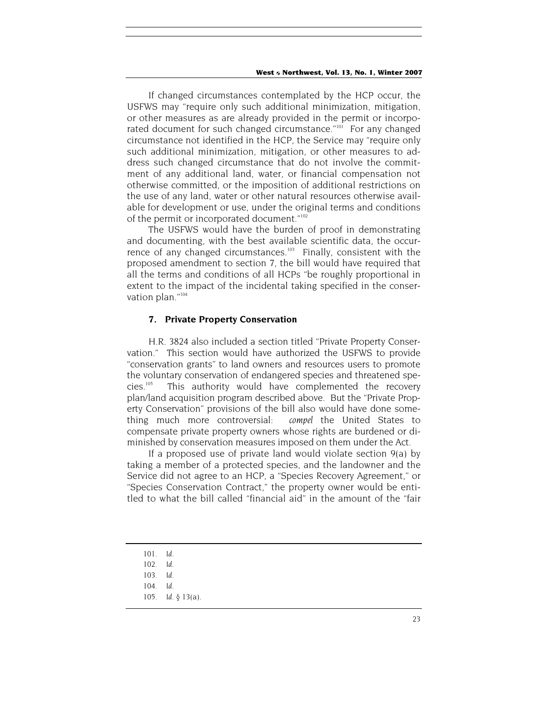If changed circumstances contemplated by the HCP occur, the USFWS may "require only such additional minimization, mitigation, or other measures as are already provided in the permit or incorporated document for such changed circumstance."<sup>101</sup> For any changed circumstance not identified in the HCP, the Service may "require only such additional minimization, mitigation, or other measures to address such changed circumstance that do not involve the commitment of any additional land, water, or financial compensation not otherwise committed, or the imposition of additional restrictions on the use of any land, water or other natural resources otherwise available for development or use, under the original terms and conditions of the permit or incorporated document."<sup>102</sup>

The USFWS would have the burden of proof in demonstrating and documenting, with the best available scientific data, the occurrence of any changed circumstances.<sup>103</sup> Finally, consistent with the proposed amendment to section 7, the bill would have required that all the terms and conditions of all HCPs "be roughly proportional in extent to the impact of the incidental taking specified in the conservation plan."104

# **7. Private Property Conservation**

H.R. 3824 also included a section titled "Private Property Conservation." This section would have authorized the USFWS to provide "conservation grants" to land owners and resources users to promote the voluntary conservation of endangered species and threatened species.<sup>105</sup> This authority would have complemented the recovery This authority would have complemented the recovery plan/land acquisition program described above. But the "Private Property Conservation" provisions of the bill also would have done something much more controversial: *compel* the United States to compensate private property owners whose rights are burdened or diminished by conservation measures imposed on them under the Act.

If a proposed use of private land would violate section 9(a) by taking a member of a protected species, and the landowner and the Service did not agree to an HCP, a "Species Recovery Agreement," or "Species Conservation Contract," the property owner would be entitled to what the bill called "financial aid" in the amount of the "fair

<sup>101</sup>*. Id.*

<sup>102</sup>*. Id.*

<sup>103</sup>*. Id.*

<sup>104</sup>*. Id.*

<sup>105</sup>*. Id.* § 13(a).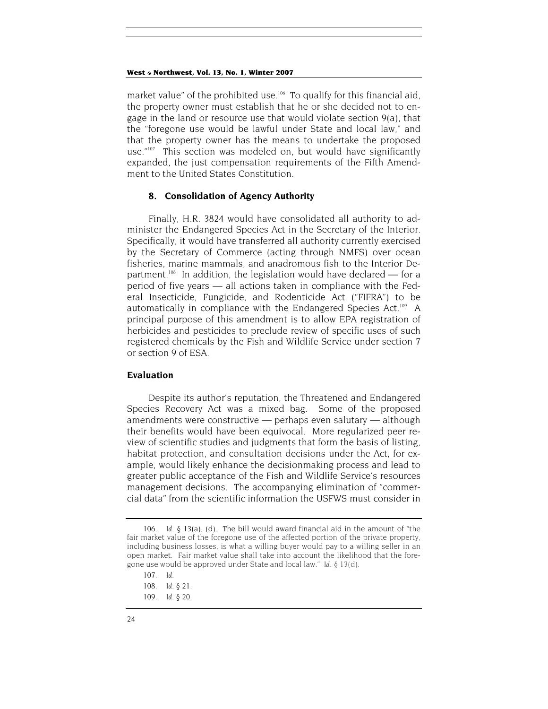market value" of the prohibited use.<sup>106</sup> To qualify for this financial aid, the property owner must establish that he or she decided not to engage in the land or resource use that would violate section 9(a), that the "foregone use would be lawful under State and local law," and that the property owner has the means to undertake the proposed use."<sup>107</sup> This section was modeled on, but would have significantly expanded, the just compensation requirements of the Fifth Amendment to the United States Constitution.

# **8. Consolidation of Agency Authority**

Finally, H.R. 3824 would have consolidated all authority to administer the Endangered Species Act in the Secretary of the Interior. Specifically, it would have transferred all authority currently exercised by the Secretary of Commerce (acting through NMFS) over ocean fisheries, marine mammals, and anadromous fish to the Interior Department.<sup>108</sup> In addition, the legislation would have declared  $-$  for a period of five years — all actions taken in compliance with the Federal Insecticide, Fungicide, and Rodenticide Act ("FIFRA") to be automatically in compliance with the Endangered Species Act.<sup>109</sup> A principal purpose of this amendment is to allow EPA registration of herbicides and pesticides to preclude review of specific uses of such registered chemicals by the Fish and Wildlife Service under section 7 or section 9 of ESA.

# **Evaluation**

Despite its author's reputation, the Threatened and Endangered Species Recovery Act was a mixed bag. Some of the proposed amendments were constructive — perhaps even salutary — although their benefits would have been equivocal. More regularized peer review of scientific studies and judgments that form the basis of listing, habitat protection, and consultation decisions under the Act, for example, would likely enhance the decisionmaking process and lead to greater public acceptance of the Fish and Wildlife Service's resources management decisions. The accompanying elimination of "commercial data" from the scientific information the USFWS must consider in

<sup>106</sup>*. Id.* § 13(a), (d). The bill would award financial aid in the amount of "the fair market value of the foregone use of the affected portion of the private property, including business losses, is what a willing buyer would pay to a willing seller in an open market. Fair market value shall take into account the likelihood that the foregone use would be approved under State and local law." *Id.* § 13(d).

<sup>107</sup>*. Id.* 108*. Id.* § 21. 109*. Id.* § 20.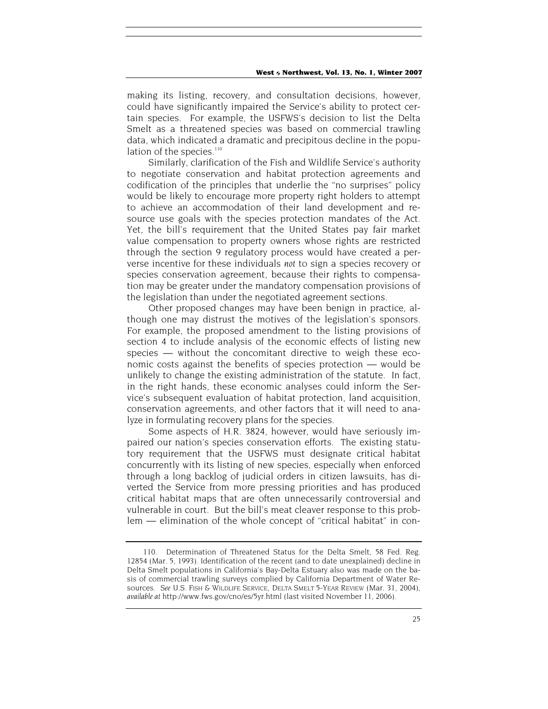making its listing, recovery, and consultation decisions, however, could have significantly impaired the Service's ability to protect certain species. For example, the USFWS's decision to list the Delta Smelt as a threatened species was based on commercial trawling data, which indicated a dramatic and precipitous decline in the population of the species.<sup>110</sup>

Similarly, clarification of the Fish and Wildlife Service's authority to negotiate conservation and habitat protection agreements and codification of the principles that underlie the "no surprises" policy would be likely to encourage more property right holders to attempt to achieve an accommodation of their land development and resource use goals with the species protection mandates of the Act. Yet, the bill's requirement that the United States pay fair market value compensation to property owners whose rights are restricted through the section 9 regulatory process would have created a perverse incentive for these individuals *not* to sign a species recovery or species conservation agreement, because their rights to compensation may be greater under the mandatory compensation provisions of the legislation than under the negotiated agreement sections.

Other proposed changes may have been benign in practice, although one may distrust the motives of the legislation's sponsors. For example, the proposed amendment to the listing provisions of section 4 to include analysis of the economic effects of listing new species — without the concomitant directive to weigh these economic costs against the benefits of species protection — would be unlikely to change the existing administration of the statute. In fact, in the right hands, these economic analyses could inform the Service's subsequent evaluation of habitat protection, land acquisition, conservation agreements, and other factors that it will need to analyze in formulating recovery plans for the species.

Some aspects of H.R. 3824, however, would have seriously impaired our nation's species conservation efforts. The existing statutory requirement that the USFWS must designate critical habitat concurrently with its listing of new species, especially when enforced through a long backlog of judicial orders in citizen lawsuits, has diverted the Service from more pressing priorities and has produced critical habitat maps that are often unnecessarily controversial and vulnerable in court. But the bill's meat cleaver response to this problem — elimination of the whole concept of "critical habitat" in con-

<sup>110.</sup> Determination of Threatened Status for the Delta Smelt, 58 Fed. Reg. 12854 (Mar. 5, 1993). Identification of the recent (and to date unexplained) decline in Delta Smelt populations in California's Bay-Delta Estuary also was made on the basis of commercial trawling surveys complied by California Department of Water Resources. *See* U.S. FISH & WILDLIFE SERVICE, DELTA SMELT 5-YEAR REVIEW (Mar. 31, 2004), *available at* http://www.fws.gov/cno/es/5yr.html (last visited November 11, 2006).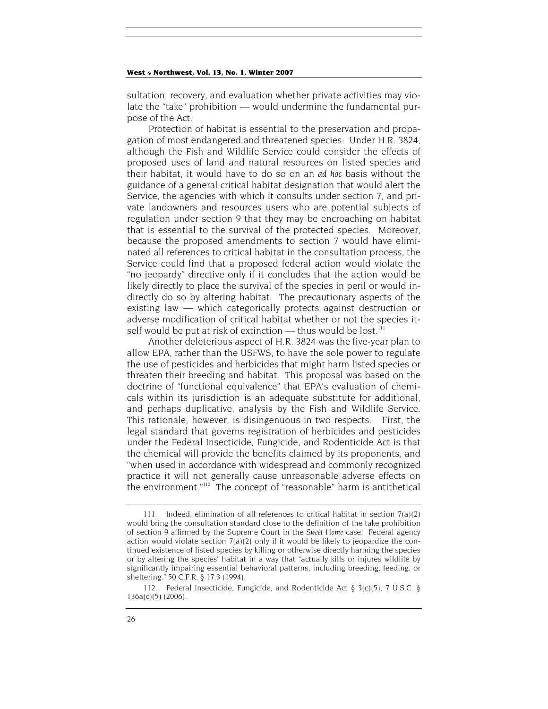sultation, recovery, and evaluation whether private activities may violate the "take" prohibition — would undermine the fundamental purpose of the Act.

Protection of habitat is essential to the preservation and propagation of most endangered and threatened species. Under H.R. 3824, although the Fish and Wildlife Service could consider the effects of proposed uses of land and natural resources on listed species and their habitat, it would have to do so on an *ad hoc* basis without the guidance of a general critical habitat designation that would alert the Service, the agencies with which it consults under section 7, and private landowners and resources users who are potential subjects of regulation under section 9 that they may be encroaching on habitat that is essential to the survival of the protected species. Moreover, because the proposed amendments to section 7 would have eliminated all references to critical habitat in the consultation process, the Service could find that a proposed federal action would violate the "no jeopardy" directive only if it concludes that the action would be likely directly to place the survival of the species in peril or would indirectly do so by altering habitat. The precautionary aspects of the existing law — which categorically protects against destruction or adverse modification of critical habitat whether or not the species itself would be put at risk of extinction  $-$  thus would be lost.<sup>111</sup>

Another deleterious aspect of H.R. 3824 was the five-year plan to allow EPA, rather than the USFWS, to have the sole power to regulate the use of pesticides and herbicides that might harm listed species or threaten their breeding and habitat. This proposal was based on the doctrine of "functional equivalence" that EPA's evaluation of chemicals within its jurisdiction is an adequate substitute for additional, and perhaps duplicative, analysis by the Fish and Wildlife Service. This rationale, however, is disingenuous in two respects. First, the legal standard that governs registration of herbicides and pesticides under the Federal Insecticide, Fungicide, and Rodenticide Act is that the chemical will provide the benefits claimed by its proponents, and "when used in accordance with widespread and commonly recognized practice it will not generally cause unreasonable adverse effects on the environment."112 The concept of "reasonable" harm is antithetical

<sup>111.</sup> Indeed, elimination of all references to critical habitat in section 7(a)(2) would bring the consultation standard close to the definition of the take prohibition of section 9 affirmed by the Supreme Court in the *Sweet Home* case: Federal agency action would violate section  $7(a)(2)$  only if it would be likely to jeopardize the continued existence of listed species by killing or otherwise directly harming the species or by altering the species' habitat in a way that "actually kills or injures wildlife by significantly impairing essential behavioral patterns, including breeding, feeding, or sheltering." 50 C.F.R. § 17.3 (1994).

<sup>112.</sup> Federal Insecticide, Fungicide, and Rodenticide Act § 3(c)(5), 7 U.S.C. § 136a(c)(5) (2006).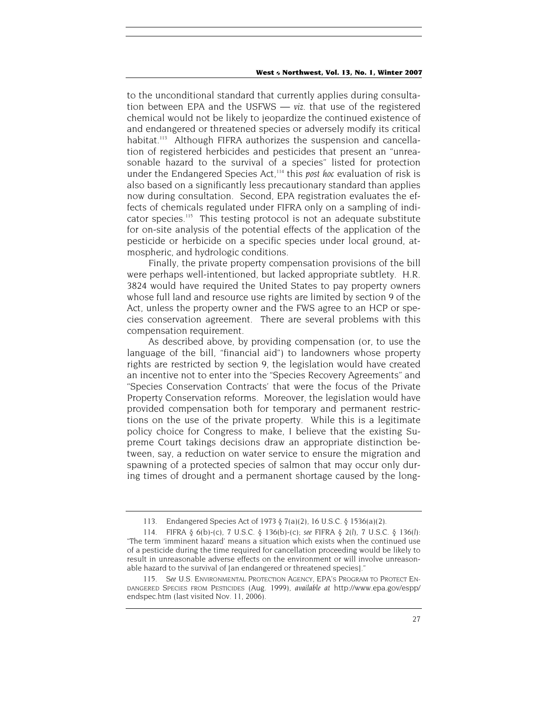to the unconditional standard that currently applies during consultation between EPA and the USFWS — *viz.* that use of the registered chemical would not be likely to jeopardize the continued existence of and endangered or threatened species or adversely modify its critical habitat.<sup>113</sup> Although FIFRA authorizes the suspension and cancellation of registered herbicides and pesticides that present an "unreasonable hazard to the survival of a species" listed for protection under the Endangered Species Act,<sup>114</sup> this *post hoc* evaluation of risk is also based on a significantly less precautionary standard than applies now during consultation. Second, EPA registration evaluates the effects of chemicals regulated under FIFRA only on a sampling of indicator species.<sup>115</sup> This testing protocol is not an adequate substitute for on-site analysis of the potential effects of the application of the pesticide or herbicide on a specific species under local ground, atmospheric, and hydrologic conditions.

Finally, the private property compensation provisions of the bill were perhaps well-intentioned, but lacked appropriate subtlety. H.R. 3824 would have required the United States to pay property owners whose full land and resource use rights are limited by section 9 of the Act, unless the property owner and the FWS agree to an HCP or species conservation agreement. There are several problems with this compensation requirement.

As described above, by providing compensation (or, to use the language of the bill, "financial aid") to landowners whose property rights are restricted by section 9, the legislation would have created an incentive not to enter into the "Species Recovery Agreements" and "Species Conservation Contracts' that were the focus of the Private Property Conservation reforms. Moreover, the legislation would have provided compensation both for temporary and permanent restrictions on the use of the private property. While this is a legitimate policy choice for Congress to make, I believe that the existing Supreme Court takings decisions draw an appropriate distinction between, say, a reduction on water service to ensure the migration and spawning of a protected species of salmon that may occur only during times of drought and a permanent shortage caused by the long-

<sup>113.</sup> Endangered Species Act of 1973 § 7(a)(2), 16 U.S.C. § 1536(a)(2).

<sup>114.</sup> FIFRA § 6(b)-(c), 7 U.S.C. § 136(b)-(c); *see* FIFRA § 2(*l*), 7 U.S.C. § 136(*l*): "The term 'imminent hazard' means a situation which exists when the continued use of a pesticide during the time required for cancellation proceeding would be likely to result in unreasonable adverse effects on the environment or will involve unreasonable hazard to the survival of [an endangered or threatened species]."

<sup>115</sup>*. See* U.S. ENVIRONMENTAL PROTECTION AGENCY, EPA'S PROGRAM TO PROTECT EN-DANGERED SPECIES FROM PESTICIDES (Aug. 1999), *available at* http://www.epa.gov/espp/ endspec.htm (last visited Nov. 11, 2006).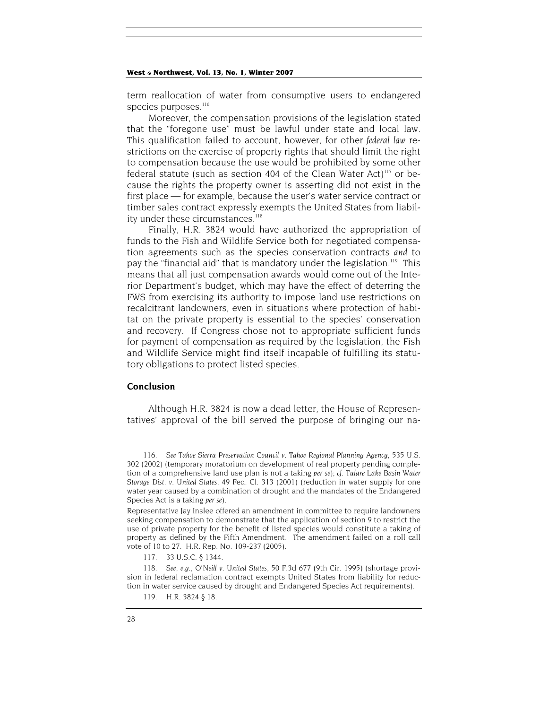term reallocation of water from consumptive users to endangered species purposes.<sup>116</sup>

Moreover, the compensation provisions of the legislation stated that the "foregone use" must be lawful under state and local law. This qualification failed to account, however, for other *federal law* restrictions on the exercise of property rights that should limit the right to compensation because the use would be prohibited by some other federal statute (such as section 404 of the Clean Water Act)<sup>117</sup> or because the rights the property owner is asserting did not exist in the first place — for example, because the user's water service contract or timber sales contract expressly exempts the United States from liability under these circumstances.<sup>118</sup>

Finally, H.R. 3824 would have authorized the appropriation of funds to the Fish and Wildlife Service both for negotiated compensation agreements such as the species conservation contracts *and* to pay the "financial aid" that is mandatory under the legislation.119 This means that all just compensation awards would come out of the Interior Department's budget, which may have the effect of deterring the FWS from exercising its authority to impose land use restrictions on recalcitrant landowners, even in situations where protection of habitat on the private property is essential to the species' conservation and recovery. If Congress chose not to appropriate sufficient funds for payment of compensation as required by the legislation, the Fish and Wildlife Service might find itself incapable of fulfilling its statutory obligations to protect listed species.

# **Conclusion**

Although H.R. 3824 is now a dead letter, the House of Representatives' approval of the bill served the purpose of bringing our na-

<sup>116</sup>*. See Tahoe Sierra Preservation Council v. Tahoe Regional Planning Agency*, 535 U.S. 302 (2002) (temporary moratorium on development of real property pending completion of a comprehensive land use plan is not a taking *per se*); *cf. Tulare Lake Basin Water Storage Dist. v. United States*, 49 Fed. Cl. 313 (2001) (reduction in water supply for one water year caused by a combination of drought and the mandates of the Endangered Species Act is a taking *per se*).

Representative Jay Inslee offered an amendment in committee to require landowners seeking compensation to demonstrate that the application of section 9 to restrict the use of private property for the benefit of listed species would constitute a taking of property as defined by the Fifth Amendment. The amendment failed on a roll call vote of 10 to 27. H.R. Rep. No. 109-237 (2005).

<sup>117. 33</sup> U.S.C. § 1344.

<sup>118</sup>*. See, e.g., O'Neill v. United States*, 50 F.3d 677 (9th Cir. 1995) (shortage provision in federal reclamation contract exempts United States from liability for reduction in water service caused by drought and Endangered Species Act requirements).

<sup>119.</sup> H.R. 3824 § 18.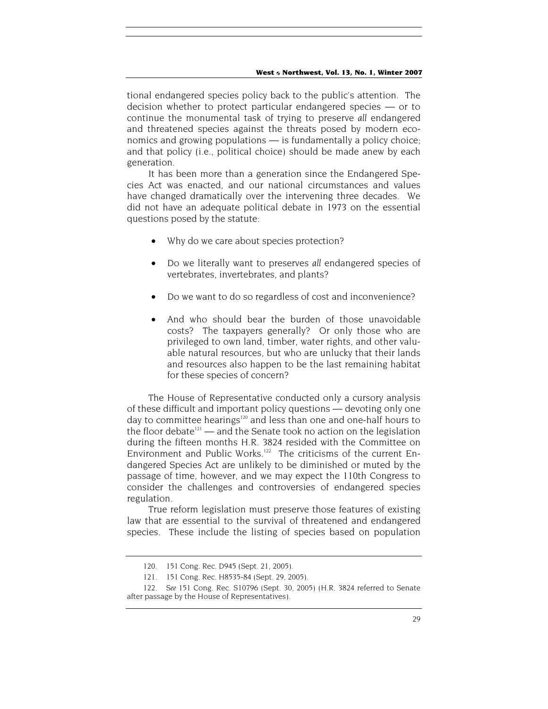tional endangered species policy back to the public's attention. The decision whether to protect particular endangered species — or to continue the monumental task of trying to preserve *all* endangered and threatened species against the threats posed by modern economics and growing populations — is fundamentally a policy choice; and that policy (i.e., political choice) should be made anew by each generation.

It has been more than a generation since the Endangered Species Act was enacted, and our national circumstances and values have changed dramatically over the intervening three decades. We did not have an adequate political debate in 1973 on the essential questions posed by the statute:

- Why do we care about species protection?
- Do we literally want to preserves *all* endangered species of vertebrates, invertebrates, and plants?
- Do we want to do so regardless of cost and inconvenience?
- And who should bear the burden of those unavoidable costs? The taxpayers generally? Or only those who are privileged to own land, timber, water rights, and other valuable natural resources, but who are unlucky that their lands and resources also happen to be the last remaining habitat for these species of concern?

The House of Representative conducted only a cursory analysis of these difficult and important policy questions — devoting only one day to committee hearings<sup>120</sup> and less than one and one-half hours to the floor debate $121$  — and the Senate took no action on the legislation during the fifteen months H.R. 3824 resided with the Committee on Environment and Public Works.<sup>122</sup> The criticisms of the current Endangered Species Act are unlikely to be diminished or muted by the passage of time, however, and we may expect the 110th Congress to consider the challenges and controversies of endangered species regulation.

True reform legislation must preserve those features of existing law that are essential to the survival of threatened and endangered species. These include the listing of species based on population

<sup>120. 151</sup> Cong. Rec. D945 (Sept. 21, 2005).

<sup>121. 151</sup> Cong. Rec. H8535-84 (Sept. 29, 2005).

<sup>122</sup>*. See* 151 Cong. Rec. S10796 (Sept. 30, 2005) (H.R. 3824 referred to Senate after passage by the House of Representatives).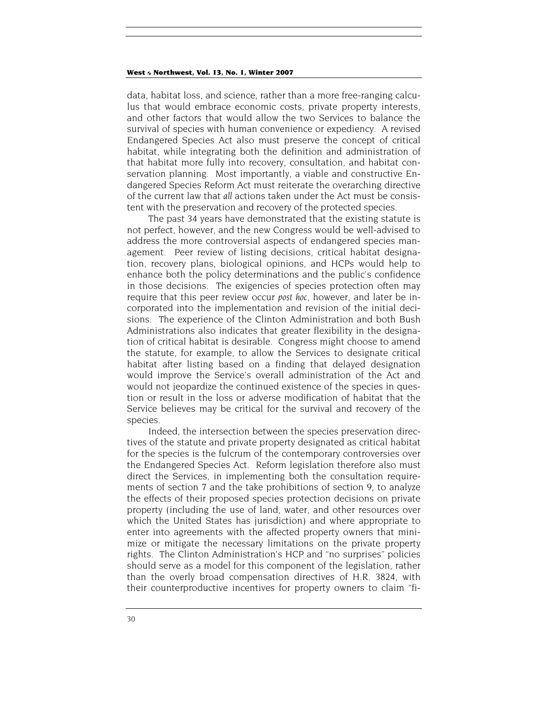data, habitat loss, and science, rather than a more free-ranging calculus that would embrace economic costs, private property interests, and other factors that would allow the two Services to balance the survival of species with human convenience or expediency. A revised Endangered Species Act also must preserve the concept of critical habitat, while integrating both the definition and administration of that habitat more fully into recovery, consultation, and habitat conservation planning. Most importantly, a viable and constructive Endangered Species Reform Act must reiterate the overarching directive of the current law that *all* actions taken under the Act must be consistent with the preservation and recovery of the protected species.

The past 34 years have demonstrated that the existing statute is not perfect, however, and the new Congress would be well-advised to address the more controversial aspects of endangered species management. Peer review of listing decisions, critical habitat designation, recovery plans, biological opinions, and HCPs would help to enhance both the policy determinations and the public's confidence in those decisions. The exigencies of species protection often may require that this peer review occur *post hoc,* however, and later be incorporated into the implementation and revision of the initial decisions. The experience of the Clinton Administration and both Bush Administrations also indicates that greater flexibility in the designation of critical habitat is desirable. Congress might choose to amend the statute, for example, to allow the Services to designate critical habitat after listing based on a finding that delayed designation would improve the Service's overall administration of the Act and would not jeopardize the continued existence of the species in question or result in the loss or adverse modification of habitat that the Service believes may be critical for the survival and recovery of the species.

Indeed, the intersection between the species preservation directives of the statute and private property designated as critical habitat for the species is the fulcrum of the contemporary controversies over the Endangered Species Act. Reform legislation therefore also must direct the Services, in implementing both the consultation requirements of section 7 and the take prohibitions of section 9, to analyze the effects of their proposed species protection decisions on private property (including the use of land, water, and other resources over which the United States has jurisdiction) and where appropriate to enter into agreements with the affected property owners that minimize or mitigate the necessary limitations on the private property rights. The Clinton Administration's HCP and "no surprises" policies should serve as a model for this component of the legislation, rather than the overly broad compensation directives of H.R. 3824, with their counterproductive incentives for property owners to claim "fi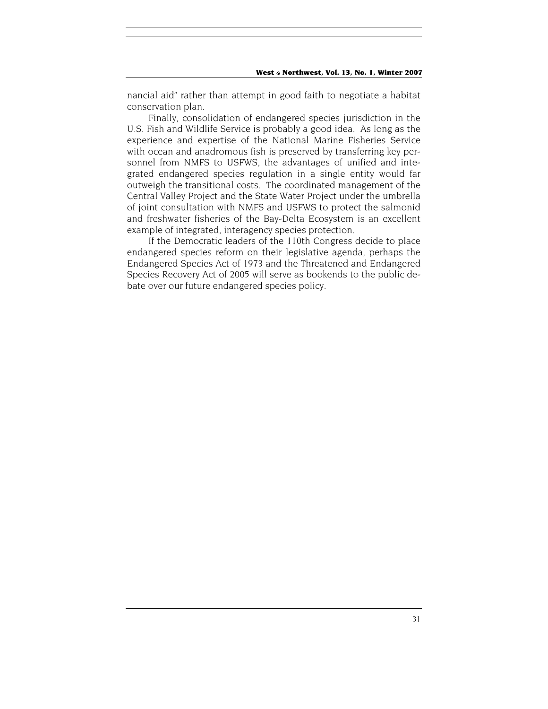nancial aid" rather than attempt in good faith to negotiate a habitat conservation plan.

Finally, consolidation of endangered species jurisdiction in the U.S. Fish and Wildlife Service is probably a good idea. As long as the experience and expertise of the National Marine Fisheries Service with ocean and anadromous fish is preserved by transferring key personnel from NMFS to USFWS, the advantages of unified and integrated endangered species regulation in a single entity would far outweigh the transitional costs. The coordinated management of the Central Valley Project and the State Water Project under the umbrella of joint consultation with NMFS and USFWS to protect the salmonid and freshwater fisheries of the Bay-Delta Ecosystem is an excellent example of integrated, interagency species protection.

If the Democratic leaders of the 110th Congress decide to place endangered species reform on their legislative agenda, perhaps the Endangered Species Act of 1973 and the Threatened and Endangered Species Recovery Act of 2005 will serve as bookends to the public debate over our future endangered species policy.